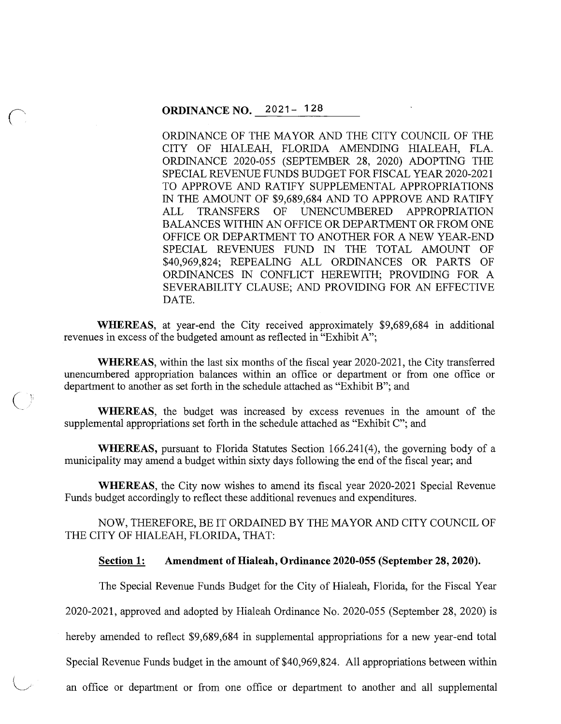ORDINANCE OF THE MAYOR AND THE CITY COUNCIL OF THE CITY OF HIALEAH, FLORIDA AMENDING HIALEAH, FLA. ORDINANCE 2020-055 (SEPTEMBER 28, 2020) ADOPTING THE SPECIAL REVENUE FUNDS BUDGET FOR FISCAL YEAR 2020-2021 TO APPROVE AND RATIFY SUPPLEMENTAL APPROPRIATIONS IN THE AMOUNT OF \$9,689,684 AND TO APPROVE AND RATIFY ALL TRANSFERS OF UNENCUMBERED APPROPRIATION BALANCES WITHIN AN OFFICE OR DEPARTMENT OR FROM ONE OFFICE OR DEPARTMENT TO ANOTHER FOR A NEW YEAR-END SPECIAL REVENUES FUND IN THE TOTAL AMOUNT OF \$40,969,824; REPEALING ALL ORDINANCES OR PARTS OF ORDINANCES IN CONFLICT HEREWITH; PROVIDING FOR A SEVERABILITY CLAUSE; AND PROVIDING FOR AN EFFECTIVE DATE.

**WHEREAS,** at year-end the City received approximately \$9,689,684 in additional revenues in excess of the budgeted amount as reflected in "Exhibit A";

**WHEREAS,** within the last six months of the fiscal year 2020-2021, the City transferred unencumbered appropriation balances within an office or department or from one office or department to another as set forth in the schedule attached as "Exhibit B"; and

**WHEREAS,** the budget was increased by excess revenues in the amount of the supplemental appropriations set forth in the schedule attached as "Exhibit C"; and

**WHEREAS,** pursuant to Florida Statutes Section 166.241(4), the governing body of a municipality may amend a budget within sixty days following the end of the fiscal year; and

**WHEREAS,** the City now wishes to amend its fiscal year 2020-2021 Special Revenue Funds budget accordingly to reflect these additional revenues and expenditures.

NOW, THEREFORE, BE IT ORDAINED BY THE MAYOR AND CITY COUNCIL OF THE CITY OF HIALEAH, FLORIDA, THAT:

#### **Section 1: Amendment of Hialeah, Ordinance 2020-055 (September 28, 2020).**

The Special Revenue Funds Budget for the City of Hialeah, Florida, for the Fiscal Year

2020-2021, approved and adopted by Hialeah Ordinance No. 2020-055 (September 28, 2020) is

hereby amended to reflect \$9,689,684 in supplemental appropriations for a new year-end total

Special Revenue Funds budget in the amount of \$40,969,824. All appropriations between within

an office or department or from one office or department to another and all supplemental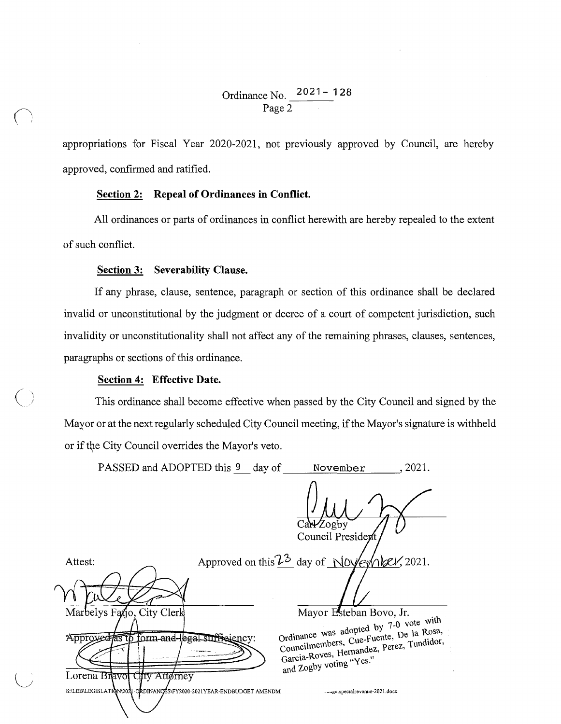## Ordinance No. 2021 - 128 Page 2

appropriations for Fiscal Year 2020-2021, not previously approved by Council, are hereby approved, confirmed and ratified.

#### **Section 2: Repeal of Ordinances in Conflict.**

All ordinances or parts of ordinances in conflict herewith are hereby repealed to the extent of such conflict.

#### **Section 3: Severability Clause.**

If any phrase, clause, sentence, paragraph or section of this ordinance shall be declared invalid or unconstitutional by the judgment or decree of a court of competent jurisdiction, such invalidity or unconstitutionality shall not affect any of the remaining phrases, clauses, sentences, paragraphs or sections of this ordinance.

### **Section 4: Effective Date.**

This ordinance shall become effective when passed by the City Council and signed by the Mayor or at the next regularly scheduled City Council meeting, if the Mayor's signature is withheld or if the City Council overrides the Mayor's veto.

|         | PASSED and ADOPTED this 9 day of                                          |                                                         |           | November                                                                                                                                                  | , 2021. |
|---------|---------------------------------------------------------------------------|---------------------------------------------------------|-----------|-----------------------------------------------------------------------------------------------------------------------------------------------------------|---------|
|         |                                                                           |                                                         | Car-Zogby | Council President                                                                                                                                         |         |
| Attest: |                                                                           | Approved on this $\mathcal{V}^3$ day of November, 2021. |           |                                                                                                                                                           |         |
|         |                                                                           |                                                         |           |                                                                                                                                                           |         |
|         | Marbelys Fatjo, City Clerk                                                |                                                         |           | Mayor Esteban Bovo, Jr.                                                                                                                                   |         |
|         | Approved as to form and legal sufficiency:<br>Lorena Bravol City Attorney |                                                         |           | Ordinance was adopted by 7-0 vote with<br>Councilmembers, Cue-Fuente, De la Rosa,<br>Garcia-Roves, Hernandez, Perez, Tundidor,<br>and Zogby voting "Yes." |         |
|         | S:\LEB\LEGISLATIQN\202\l-ORDINANCES\FY2020-2021YEAR-ENDBUDGET AMENDM.     |                                                         |           | getspecialrevenue-2021.docx                                                                                                                               |         |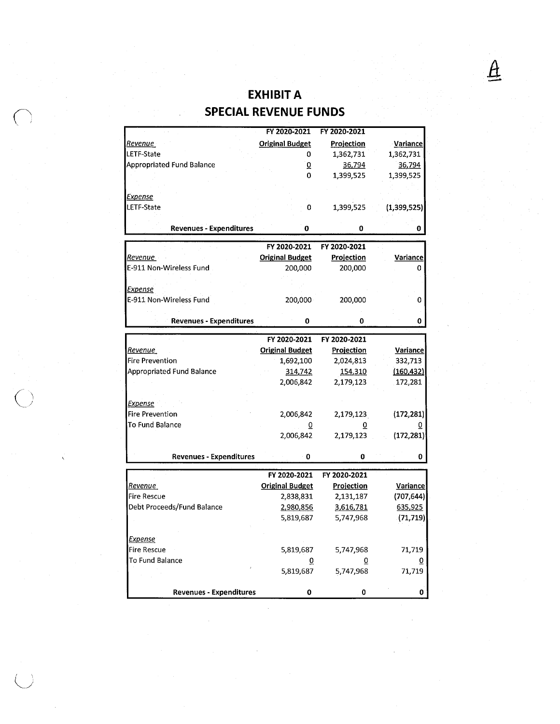# - **EXHIBIT A**  (; **SPECIAL REVENUE FUNDS**

*A* 

|                                | FY 2020-2021           | FY 2020-2021      |                 |
|--------------------------------|------------------------|-------------------|-----------------|
| Revenue                        | <b>Original Budget</b> | <b>Projection</b> | Variance        |
| LETF-State                     | 0                      | 1,362,731         | 1,362,731       |
| Appropriated Fund Balance      | ō                      | 36,794            | 36,794          |
|                                | 0                      | 1,399,525         | 1,399,525       |
|                                |                        |                   |                 |
| <b>Expense</b>                 |                        |                   |                 |
| LETF-State                     | 0                      | 1,399,525         | (1,399,525)     |
|                                |                        |                   |                 |
| <b>Revenues - Expenditures</b> | 0                      | 0                 | 0               |
|                                |                        |                   |                 |
|                                | FY 2020-2021           | FY 2020-2021      |                 |
| Revenue                        | <b>Original Budget</b> | <b>Projection</b> | <b>Variance</b> |
| E-911 Non-Wireless Fund        | 200,000                | 200,000           | 0               |
|                                |                        |                   |                 |
| <u>Expense</u>                 |                        |                   |                 |
| E-911 Non-Wireless Fund        | 200,000                | 200,000           | 0               |
|                                |                        |                   |                 |
| <b>Revenues - Expenditures</b> | 0                      | 0                 | 0               |
|                                |                        |                   |                 |
|                                | FY 2020-2021           | FY 2020-2021      |                 |
| Revenue                        | <b>Original Budget</b> | Projection        | <b>Variance</b> |
| <b>Fire Prevention</b>         | 1,692,100              | 2,024,813         | 332,713         |
| Appropriated Fund Balance      | 314,742                | 154,310           | (160, 432)      |
|                                | 2,006,842              | 2,179,123         | 172,281         |
|                                |                        |                   |                 |
| <b>Expense</b>                 |                        |                   |                 |
| <b>Fire Prevention</b>         | 2,006,842              | 2,179,123         | (172, 281)      |
| To Fund Balance                |                        |                   |                 |
|                                | 2,006,842              | 2,179,123         | (172, 281)      |
|                                |                        |                   |                 |
| <b>Revenues - Expenditures</b> | 0                      | 0                 | 0               |
|                                | FY 2020-2021           | FY 2020-2021      |                 |
| Revenue i                      | <b>Original Budget</b> | Projection        | Variance        |
| <b>Fire Rescue</b>             | 2,838,831              | 2,131,187         | (707, 644)      |
| Debt Proceeds/Fund Balance     | 2,980,856              | 3,616,781         | 635,925         |
|                                | 5,819,687              | 5,747,968         | (71, 719)       |
|                                |                        |                   |                 |
| <u>Expense</u>                 |                        |                   |                 |
| <b>Fire Rescue</b>             | 5,819,687              | 5,747,968         | 71,719          |
| To Fund Balance                | 0                      | 0                 |                 |
|                                | 5,819,687              | 5,747,968         | 71,719          |
|                                |                        |                   |                 |
| <b>Revenues - Expenditures</b> | 0                      | 0                 | 0               |
|                                |                        |                   |                 |

 $\overline{\bigcirc}$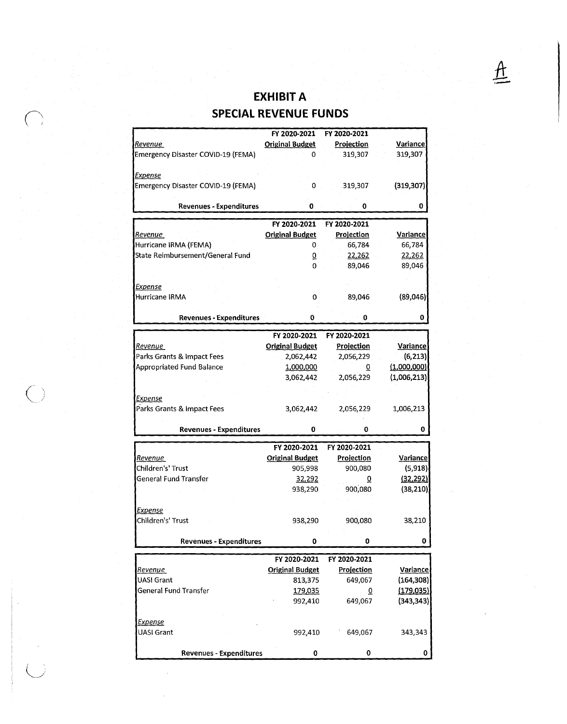# $\frac{1}{\sqrt{2}}$  **EXHIBIT A SPECIAL REVENUE FUNDS**

|                                    | FY 2020-2021           | FY 2020-2021      |                 |
|------------------------------------|------------------------|-------------------|-----------------|
| Revenue                            | <b>Original Budget</b> | <b>Projection</b> | <b>Variance</b> |
| Emergency Disaster COVID-19 (FEMA) | 0                      | 319,307           | 319,307         |
|                                    |                        |                   |                 |
| Expense                            |                        |                   |                 |
| Emergency Disaster COVID-19 (FEMA) | 0                      | 319,307           | (319, 307)      |
| <b>Revenues - Expenditures</b>     | 0                      | 0                 | 0               |
|                                    |                        |                   |                 |
|                                    | FY 2020-2021           | FY 2020-2021      |                 |
| <u>Revenue</u>                     | <b>Original Budget</b> | Projection        | Variance        |
| Hurricane IRMA (FEMA)              | 0                      | 66,784            | 66,784          |
| State Reimbursement/General Fund   | $\overline{0}$         | 22,262            | 22,262          |
|                                    | $\Omega$               | 89,046            | 89,046          |
|                                    |                        |                   |                 |
| <u>Expense</u>                     |                        |                   |                 |
| Hurricane IRMA                     | 0                      | 89,046            | (89,046)        |
|                                    |                        |                   |                 |
| <b>Revenues - Expenditures</b>     | 0                      | 0                 | 0               |
|                                    | FY 2020-2021           | FY 2020-2021      |                 |
| Revenue                            | <b>Original Budget</b> | Projection        | <b>Variance</b> |
| Parks Grants & Impact Fees         | 2,062,442              | 2,056,229         | (6, 213)        |
| Appropriated Fund Balance          |                        |                   | (1,000,000)     |
|                                    | 1,000,000              | $\overline{0}$    |                 |
|                                    | 3,062,442              | 2,056,229         | (1,006,213)     |
|                                    |                        |                   |                 |
| <u>Expense</u>                     |                        |                   |                 |
| Parks Grants & Impact Fees         | 3,062,442              | 2,056,229         | 1,006,213       |
| <b>Revenues - Expenditures</b>     | 0                      | 0                 | 0               |
|                                    |                        |                   |                 |
|                                    | FY 2020-2021           | FY 2020-2021      |                 |
| <b>Revenue</b>                     | <b>Original Budget</b> | <b>Projection</b> | Variance        |
| Children's' Trust                  | 905,998                | 900,080           | (5, 918)        |
| General Fund Transfer              | 32,292                 | 0                 | (32, 292)       |
|                                    | 938,290                | 900,080           | (38, 210)       |
|                                    |                        |                   |                 |
| <b>Expense</b>                     |                        |                   |                 |
| Children's' Trust                  | 938,290                | 900,080           | 38,210          |
|                                    |                        |                   |                 |
| <b>Revenues - Expenditures</b>     | 0                      | 0                 | 0               |
|                                    | FY 2020-2021           | FY 2020-2021      |                 |
| Revenue                            | <b>Original Budget</b> | <b>Projection</b> | Variance        |
| <b>UASI Grant</b>                  | 813,375                | 649,067           | (164, 308)      |
| General Fund Transfer              | 179,035                | ō                 | (179, 035)      |
|                                    | 992,410                | 649,067           | (343, 343)      |
|                                    |                        |                   |                 |
| <b>Expense</b>                     |                        |                   |                 |
| UASI Grant                         | 992,410                | 649,067           | 343,343         |
|                                    |                        |                   |                 |
|                                    |                        |                   |                 |

 $\bigcirc$ 

*(\_j*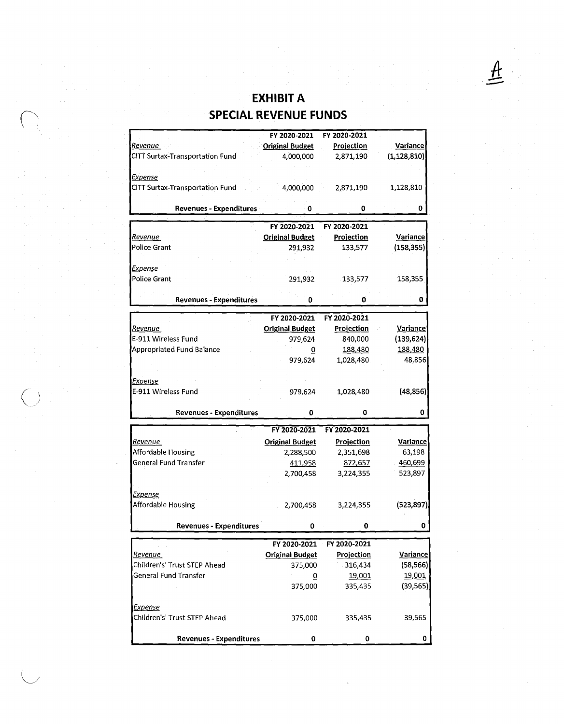# EXHIBIT A<br>**SPECIAL REVENUE FUNDS**

|                                        | FY 2020-2021           | FY 2020-2021      |                 |
|----------------------------------------|------------------------|-------------------|-----------------|
| <u>Revenue</u>                         | <b>Original Budget</b> | <b>Projection</b> | <b>Variance</b> |
| CITT Surtax-Transportation Fund        | 4,000,000              | 2,871,190         | (1, 128, 810)   |
|                                        |                        |                   |                 |
| Expense                                |                        |                   |                 |
| <b>CITT Surtax-Transportation Fund</b> | 4,000,000              | 2,871,190         | 1,128,810       |
|                                        |                        |                   |                 |
| <b>Revenues - Expenditures</b>         | 0                      | 0                 | 0               |
|                                        |                        |                   |                 |
|                                        | FY 2020-2021           | FY 2020-2021      |                 |
| Revenue                                | <b>Original Budget</b> | Projection        | Variance        |
| <b>Police Grant</b>                    | 291,932                | 133,577           | (158, 355)      |
|                                        |                        |                   |                 |
| <b>Expense</b>                         |                        |                   |                 |
| Police Grant                           | 291,932                | 133,577           | 158,355         |
|                                        |                        |                   |                 |
|                                        |                        |                   |                 |
| <b>Revenues - Expenditures</b>         | 0                      | 0                 | 0               |
|                                        | FY 2020-2021           | FY 2020-2021      |                 |
| <u>Revenue </u>                        | <b>Original Budget</b> | <b>Projection</b> | Variance        |
| E-911 Wireless Fund                    | 979,624                | 840,000           | (139, 624)      |
| Appropriated Fund Balance              |                        | 188,480           | 188,480         |
|                                        | $\overline{0}$         |                   |                 |
|                                        | 979,624                | 1,028,480         | 48,856          |
|                                        |                        |                   |                 |
| <b>Expense</b>                         |                        |                   |                 |
| E-911 Wireless Fund                    | 979,624                | 1,028,480         | (48, 856)       |
|                                        |                        |                   |                 |
| <b>Revenues - Expenditures</b>         | 0                      | $\bf{0}$          | 0               |
|                                        | FY 2020-2021           | FY 2020-2021      |                 |
|                                        |                        |                   |                 |
| Revenue                                | <b>Original Budget</b> | Projection        | <b>Variance</b> |
| Affordable Housing                     | 2,288,500              | 2,351,698         | 63,198          |
| General Fund Transfer                  | 411,958                | 872,657           | 460,699         |
|                                        | 2,700,458              | 3,224,355         | 523,897         |
|                                        |                        |                   |                 |
| <b>Expense</b>                         |                        |                   |                 |
| Affordable Housing                     | 2,700,458              | 3,224,355         | (523, 897)      |
|                                        |                        |                   |                 |
| <b>Revenues - Expenditures</b>         | 0                      | $\pmb{0}$         | 0               |
|                                        |                        |                   |                 |
|                                        | FY 2020-2021           | FY 2020-2021      |                 |
| Revenue                                | <b>Original Budget</b> | Projection        | Variance        |
| Children's' Trust STEP Ahead           | 375,000                | 316,434           | (58, 566)       |
| <b>General Fund Transfer</b>           | $\overline{0}$         | 19,001            | 19,001          |
|                                        | 375,000                | 335,435           | (39, 565)       |
|                                        |                        |                   |                 |
| Expense                                |                        |                   |                 |
| Children's' Trust STEP Ahead           | 375,000                | 335,435           | 39,565          |
|                                        |                        |                   |                 |
| <b>Revenues - Expenditures</b>         | 0                      | 0                 | 0               |
|                                        |                        |                   |                 |

I *\\_\_j*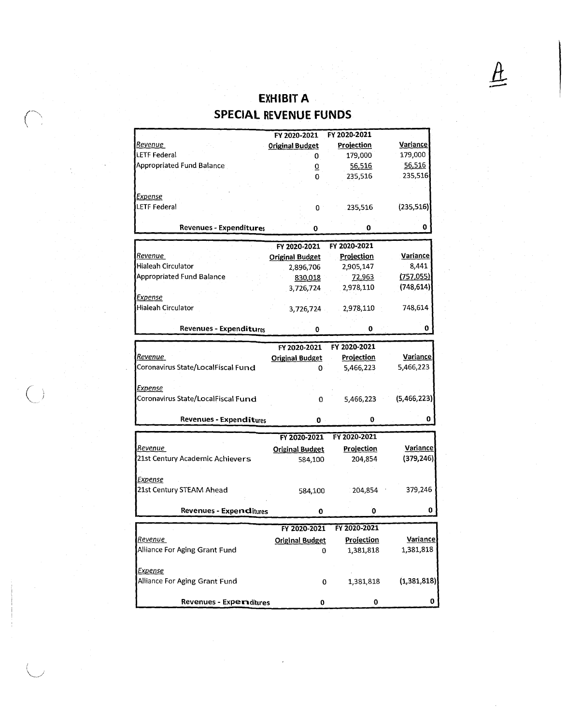## **EXHIBIT A**

| <b>SPECIAL REVENUE FUNDS</b> |  |  |  |
|------------------------------|--|--|--|
|                              |  |  |  |

(-,,~

*(*  ~ *..* 

 $\bigcup$ 

|                                    | FY 2020-2021           | FY 2020-2021      |                 |
|------------------------------------|------------------------|-------------------|-----------------|
| <u>Revenue </u>                    | <b>Original Budget</b> | Projection        | Variance        |
| <b>LETF Federal</b>                | 0                      | 179,000           | 179,000         |
| Appropriated Fund Balance          | $\overline{0}$         | 56,516            | 56,516          |
|                                    | 0                      | 235,516           | 235,516         |
|                                    |                        |                   |                 |
| Expense                            |                        |                   |                 |
| <b>LETF Federal</b>                | 0                      | 235,516           | (235, 516)      |
|                                    |                        |                   |                 |
| <b>Revenues - Expenditures</b>     | 0                      | 0                 | 0               |
|                                    |                        |                   |                 |
|                                    | FY 2020-2021           | FY 2020-2021      |                 |
| Revenue                            | <b>Original Budget</b> | <b>Projection</b> | Variance        |
| <b>Hialeah Circulator</b>          | 2,896,706              | 2,905,147         | 8,441           |
| <b>Appropriated Fund Balance</b>   | 830,018                | 72,963            | (757, 055)      |
|                                    | 3,726,724              | 2,978,110         | (748, 614)      |
| <b>Expense</b>                     |                        |                   |                 |
| Hialeah Circulator                 | 3,726,724              | 2,978,110         | 748,614         |
|                                    |                        |                   |                 |
| <b>Revenues - Expenditures</b>     | 0                      | 0                 | 0               |
|                                    | FY 2020-2021           | FY 2020-2021      |                 |
| Revenue                            | <b>Original Budget</b> | Projection        | Variance        |
| Coronavirus State/LocalFiscal Fund | 0                      | 5,466,223         | 5,466,223       |
|                                    |                        |                   |                 |
| <u>Expense</u>                     |                        |                   |                 |
| Coronavirus State/LocalFiscal Fund | 0                      | 5,466,223         | (5,466,223)     |
|                                    |                        |                   |                 |
| Revenues - Expenditures            | 0                      | 0                 | 0               |
|                                    |                        |                   |                 |
|                                    | FY 2020-2021           | FY 2020-2021      |                 |
| <u>Revenue</u>                     | <b>Original Budget</b> | <b>Projection</b> | <b>Variance</b> |
| 21st Century Academic Achievers    | 584,100                | 204,854           | (379, 246)      |
|                                    |                        |                   |                 |
| Expense                            |                        |                   |                 |
| 21st Century STEAM Ahead           | 584,100                | 204,854           | 379,246         |
|                                    |                        |                   |                 |
| Revenues - Expenditures            | 0                      | 0                 | 0               |
|                                    | FY 2020-2021           | FY 2020-2021      |                 |
| <u>Revenue</u>                     |                        |                   | <b>Variance</b> |
| Alliance For Aging Grant Fund      | <b>Original Budget</b> | Projection        |                 |
|                                    | 0                      | 1,381,818         | 1,381,818       |
|                                    |                        |                   |                 |
| <b>Expense</b>                     |                        |                   |                 |
| Alliance For Aging Grant Fund      | 0                      | 1,381,818         | (1,381,818)     |
|                                    |                        |                   |                 |
| Revenues - Experiditures           | 0                      | 0                 | 0               |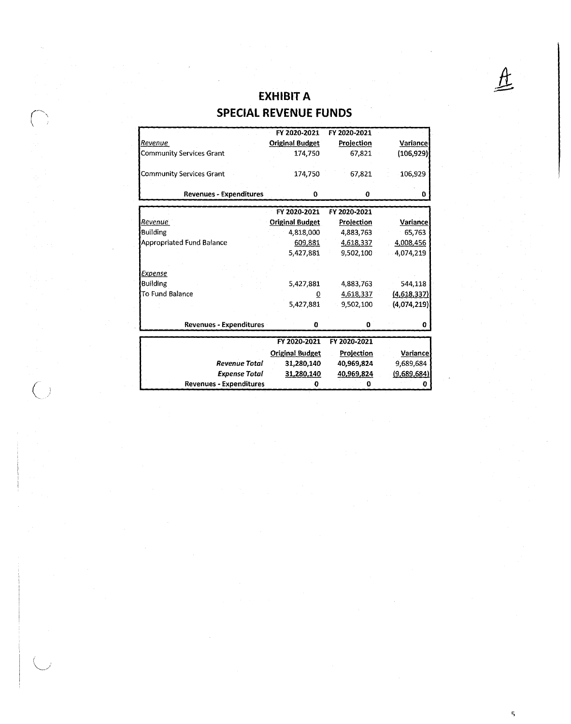## **EXHIBIT A**

A

## (~~ **SPECIAL REVENUE FUNDS**

|                                  | FY 2020-2021           | FY 2020-2021 |                 |
|----------------------------------|------------------------|--------------|-----------------|
| Revenue                          | <b>Original Budget</b> | Projection   | <b>Variance</b> |
| <b>Community Services Grant</b>  | 174,750                | 67,821       | (106,929)       |
| <b>Community Services Grant</b>  | 174.750                | 67,821       | 106,929         |
| <b>Revenues - Expenditures</b>   | 0                      | 0            | 0               |
|                                  | FY 2020-2021           | FY 2020-2021 |                 |
| Revenue                          | <b>Original Budget</b> | Projection   | Variance        |
| <b>Building</b>                  | 4,818,000              | 4,883,763    | 65,763          |
| <b>Appropriated Fund Balance</b> | 609,881                | 4,618,337    | 4,008,456       |
|                                  | 5,427,881              | 9,502,100    | 4,074,219       |
|                                  |                        |              |                 |
| Expense                          |                        |              |                 |
| Building                         | 5,427,881              | 4,883,763    | 544,118         |
| To Fund Balance                  | 0                      | 4,618,337    | (4,618,337)     |
|                                  | 5,427,881              | 9,502,100    | (4,074,219)     |
| <b>Revenues - Expenditures</b>   | 0                      | 0            | o               |
|                                  |                        |              |                 |
|                                  | FY 2020-2021           | FY 2020-2021 |                 |
|                                  | <b>Original Budget</b> | Projection   | <b>Variance</b> |
| <b>Revenue Total</b>             | 31,280,140             | 40,969,824   | 9,689,684       |
| <b>Expense Total</b>             | 31,280,140             | 40,969,824   | (9,689,684)     |
| <b>Revenues - Expenditures</b>   | 0                      |              |                 |

 $\bigcup_{i=1}^n$ 

 $\left(\quad\right)$ *".\_,./*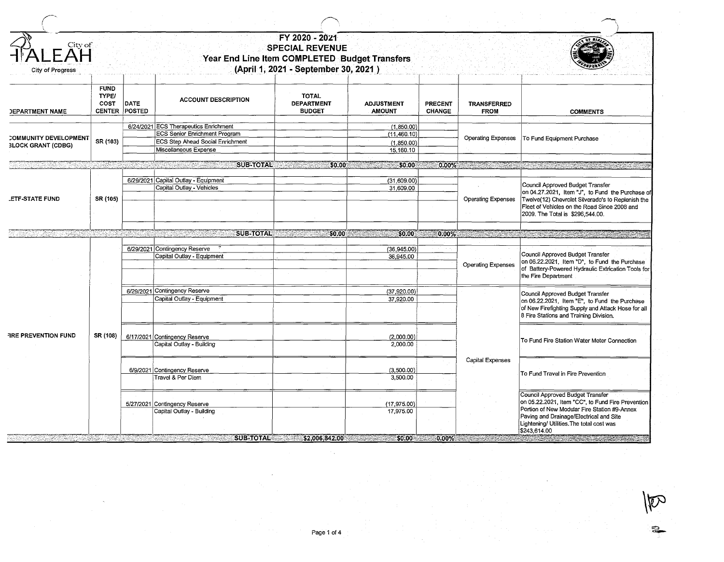| City of<br>City of Progress                        |                                                      |             |                                                                                                                                            | FY 2020 - 2021<br><b>SPECIAL REVENUE</b><br>Year End Line Item COMPLETED Budget Transfers<br>(April 1, 2021 - September 30, 2021) |                                                       |                          |                                   |                                                                                                                                                                                                                                               |
|----------------------------------------------------|------------------------------------------------------|-------------|--------------------------------------------------------------------------------------------------------------------------------------------|-----------------------------------------------------------------------------------------------------------------------------------|-------------------------------------------------------|--------------------------|-----------------------------------|-----------------------------------------------------------------------------------------------------------------------------------------------------------------------------------------------------------------------------------------------|
| <b>JEPARTMENT NAME</b>                             | <b>FUND</b><br>TYPE/<br><b>COST</b><br>CENTER POSTED | <b>DATE</b> | <b>ACCOUNT DESCRIPTION</b>                                                                                                                 | <b>TOTAL</b><br><b>DEPARTMENT</b><br><b>BUDGET</b>                                                                                | <b>ADJUSTMENT</b><br><b>AMOUNT</b>                    | PRECENT<br><b>CHANGE</b> | <b>TRANSFERRED</b><br><b>FROM</b> | <b>COMMENTS</b>                                                                                                                                                                                                                               |
| COMMUNITY DEVELOPMENT<br><b>3LOCK GRANT (CDBG)</b> | SR (103)                                             |             | 6/24/2021 ECS Therapeutics Enrichment<br><b>ECS Senior Enrichment Program</b><br>ECS Step Ahead Social Enrichment<br>Miscellaneous Expense |                                                                                                                                   | (1, 850.00)<br>(11,460.10)<br>(1,850.00)<br>15,160.10 |                          | <b>Operating Expenses</b>         | To Fund Equipment Purchase                                                                                                                                                                                                                    |
|                                                    |                                                      |             | <b>SUB-TOTAL</b><br>a a shekarar 2007.                                                                                                     | \$0.00<br>TA MARINA                                                                                                               | $-50.00$                                              | $0.00\%$                 |                                   |                                                                                                                                                                                                                                               |
| <b>LETF-STATE FUND</b>                             | SR (105)                                             |             | 6/29/2021 Capital Outlay - Equipment<br>Capital Outlay - Vehicles                                                                          |                                                                                                                                   | (31,609.00)<br>31,609.00                              |                          | <b>Operating Expenses</b>         | Council Approved Budget Transfer<br>on 04.27.2021, Item "J", to Fund the Purchase of<br>Twelve(12) Chevrolet Silverado's to Replenish the<br>Fleet of Vehicles on the Road Since 2008 and<br>2009. The Total is \$296,544.00.                 |
| المناصبات                                          |                                                      |             | <b>SUB-TOTAL</b>                                                                                                                           | \$0.00                                                                                                                            | \$0,00                                                | $0.00\%$                 |                                   |                                                                                                                                                                                                                                               |
|                                                    |                                                      |             | 6/29/2021 Contingency Reserve<br>Capital Outlay - Equipment                                                                                |                                                                                                                                   | (36,945.00)<br>36,945.00                              |                          | <b>Operating Expenses</b>         | Council Approved Budget Transfer<br>on 06.22.2021, Item "D", to Fund the Purchase<br>of Battery-Powered Hydraulic Extrication Tools for<br>the Fire Department                                                                                |
|                                                    |                                                      |             | 6/29/2021 Contingency Reserve<br>Capital Outlay - Equipment                                                                                |                                                                                                                                   | (37,920.00)<br>37,920.00                              |                          |                                   | Council Approved Budget Transfer<br>on 06.22.2021, Item "E", to Fund the Purchase<br>of New Firefighting Supply and Attack Hose for all<br>8 Fire Stations and Training Division.                                                             |
| <b>FIRE PREVENTION FUND</b>                        | SR (108)                                             |             | 6/17/2021 Contingency Reserve<br>Capital Outlay - Building                                                                                 |                                                                                                                                   | (2,000:00)<br>2,000.00                                |                          | <b>Capital Expenses</b>           | To Fund Fire Station Water Meter Connection                                                                                                                                                                                                   |
|                                                    |                                                      |             | 6/9/2021 Contingency Reserve<br>Travel & Per Diem                                                                                          |                                                                                                                                   | (3,500.00)<br>3,500.00                                |                          |                                   | To Fund Travel in Fire Prevention                                                                                                                                                                                                             |
| etti kohekter                                      |                                                      |             | 5/27/2021 Contingency Reserve<br>Capital Outlay - Building<br><b>SUB-TOTAL 52,006,842,00</b>                                               |                                                                                                                                   | (17, 975.00)<br>17,975.00<br>\$0.00                   |                          | $0.00\%$ . The set of $\sim$      | Council Approved Budget Transfer<br>on 05.22.2021, Item "CC", to Fund Fire Prevention<br>Portion of New Modular Fire Station #9-Annex<br>Paving and Drainage/Electrical and Site<br>Lightening/ Utilities. The total cost was<br>\$243,614.00 |

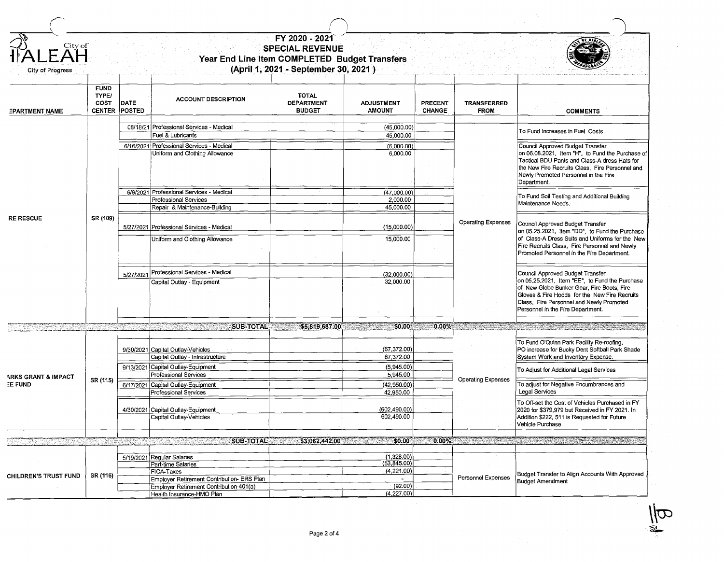| City of<br><b>City of Progress</b> |                              |                              |                                                                                                     | FY 2020 - 2021<br><b>SPECIAL REVENUE</b><br>Year End Line Item COMPLETED Budget Transfers<br>(April 1, 2021 - September 30, 2021) |                                      |                                 |                                   |                                                                                                                                                                                                                                                                    |  |
|------------------------------------|------------------------------|------------------------------|-----------------------------------------------------------------------------------------------------|-----------------------------------------------------------------------------------------------------------------------------------|--------------------------------------|---------------------------------|-----------------------------------|--------------------------------------------------------------------------------------------------------------------------------------------------------------------------------------------------------------------------------------------------------------------|--|
| <b>EPARTMENT NAME</b>              | <b>FUND</b><br>TYPE/<br>COST | DATE<br><b>CENTER POSTED</b> | <b>ACCOUNT DESCRIPTION</b>                                                                          | <b>TOTAL</b><br><b>DEPARTMENT</b><br><b>BUDGET</b>                                                                                | <b>ADJUSTMENT</b><br><b>AMOUNT</b>   | <b>PRECENT</b><br><b>CHANGE</b> | <b>TRANSFERRED</b><br><b>FROM</b> | <b>COMMENTS</b>                                                                                                                                                                                                                                                    |  |
|                                    |                              |                              | 08/18/21 Professional Services - Medical<br>Fuel & Lubricants                                       |                                                                                                                                   | (45,000.00)<br>45,000.00             |                                 |                                   | To Fund Increases in Fuel Costs                                                                                                                                                                                                                                    |  |
|                                    |                              |                              | 6/16/2021 Professional Services - Medical<br>Uniform and Clothing Allowance                         |                                                                                                                                   | (6,000.00)<br>6,000.00               |                                 |                                   | Council Approved Budget Transfer<br>on 06.08.2021, Item "H", to Fund the Purchase of<br>Tactical BDU Pants and Class-A dress Hats for<br>the New Fire Recruits Class, Fire Personnel and<br>Newly Promoted Personnel in the Fire<br>Department.                    |  |
|                                    |                              |                              | 6/9/2021 Professional Services - Medical<br>Professional Services<br>Repair & Maintenance-Building  |                                                                                                                                   | (47,000.00)<br>2,000.00<br>45,000.00 |                                 |                                   |                                                                                                                                                                                                                                                                    |  |
| <b>RE RESCUE</b>                   | SR (109)                     |                              | 5/27/2021 Professional Services - Medical                                                           |                                                                                                                                   | (15,000.00)                          |                                 | <b>Operating Expenses</b>         | Council Approved Budget Transfer<br>on 05.25.2021, Item "DD", to Fund the Purchase                                                                                                                                                                                 |  |
|                                    |                              |                              | Uniform and Clothing Allowance                                                                      |                                                                                                                                   | 15,000.00                            |                                 |                                   | of Class-A Dress Suits and Uniforms for the New<br>Fire Recruits Class, Fire Personnel and Newly<br>Promoted Personnel in the Fire Department.                                                                                                                     |  |
|                                    |                              |                              | 5/27/2021 Professional Services - Medical<br>Capital Outlay - Equipment                             |                                                                                                                                   | (32,000.00)<br>32,000.00             |                                 |                                   | Council Approved Budget Transfer<br>on 05.25.2021, Item "EE", to Fund the Purchase<br>of New Globe Bunker Gear, Fire Boots, Fire<br>Gloves & Fire Hoods for the New Fire Recruits<br>Class, Fire Personnel and Newly Promoted<br>Personnel in the Fire Department. |  |
|                                    |                              |                              |                                                                                                     | SUB-TOTAL \$5,819,687.00                                                                                                          | \$0.00                               | 0.00%                           |                                   | the contract of the contract of the contract of the contract of the contract of the contract of the contract of                                                                                                                                                    |  |
|                                    |                              |                              | 9/30/2021 Capital Outlay-Vehicles<br>Capital Outlay - Infrastructure                                |                                                                                                                                   | (67, 372.00)<br>67,372.00            |                                 |                                   | To Fund O'Quinn Park Facility Re-roofing,<br>PO increase for Bucky Dent Softball Park Shade<br>System Work and Inventory Expense.                                                                                                                                  |  |
| <b>ARKS GRANT &amp; IMPACT</b>     | SR (115)                     |                              | 9/13/2021 Capital Outlay-Equipment<br>Professional Services                                         |                                                                                                                                   | (5,945.00)<br>5,945.00               |                                 | <b>Operating Expenses</b>         | To Adjust for Additional Legal Services                                                                                                                                                                                                                            |  |
| EE FUND                            |                              |                              | 6/17/2021 Capital Outlay-Equipment<br>Professional Services                                         |                                                                                                                                   | (42,950.00)<br>42,950.00             |                                 |                                   | To adjust for Negative Encumbrances and<br>Legal Services                                                                                                                                                                                                          |  |
|                                    |                              |                              | 4/30/2021 Capital Outlay-Equipment<br>Capital Outlay-Vehicles                                       |                                                                                                                                   | (602, 490.00)<br>602,490.00          |                                 |                                   | To Off-set the Cost of Vehicles Purchased in FY<br>2020 for \$379,979 but Received in FY 2021. In<br>Addition \$222, 511 is Requested for Future<br>Vehicle Purchase                                                                                               |  |
|                                    |                              |                              | <b>SUB-TOTAL</b>                                                                                    | \$3,062,442,00                                                                                                                    | \$0.00<br>a Britanni                 | $0.00\%$                        |                                   |                                                                                                                                                                                                                                                                    |  |
|                                    |                              |                              | 5/19/2021 Regular Salaries<br>Part-time Salaries                                                    |                                                                                                                                   | (1.328.00)<br>(53,845.00)            |                                 |                                   |                                                                                                                                                                                                                                                                    |  |
| <b>CHILDREN'S TRUST FUND</b>       | SR (116)                     |                              | FICA-Taxes<br>Employer Retirement Contribution- ERS Plan<br>Employer Retirement Contribution-401(a) |                                                                                                                                   | (4,221.00)<br>$\sim 100$<br>(92.00)  |                                 | <b>Personnel Expenses</b>         | Budget Transfer to Align Accounts With Approved<br><b>Budget Amendment</b>                                                                                                                                                                                         |  |
|                                    |                              |                              | Health Insurance-HMO Plan                                                                           |                                                                                                                                   | (4,227.00)                           |                                 |                                   |                                                                                                                                                                                                                                                                    |  |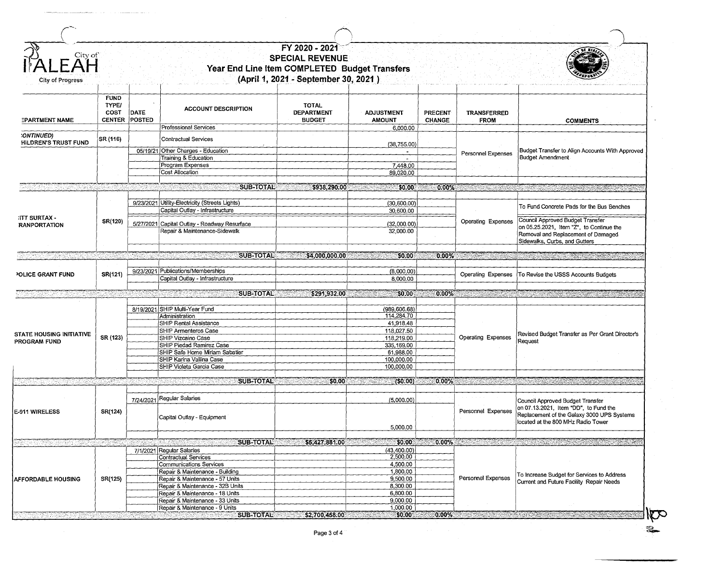| City<br>C               |
|-------------------------|
|                         |
| <b>City of Progress</b> |

## $\frac{1}{2}$  **FY 2020 - 2021 PECIAL REVENUE**<br>Year End Line Item COMPLETED Budget Transfers **(April 1, 2021 - September 30, 2021** )



| <b>EPARTMENT NAME</b>                       | <b>FUND</b><br><b>TYPE/</b><br>COST<br><b>CENTER</b> | <b>DATE</b><br>POSTED | <b>ACCOUNT DESCRIPTION</b><br>Professional Services                | <b>TOTAL</b><br><b>DEPARTMENT</b><br><b>BUDGET</b> | <b>ADJUSTMENT</b><br><b>AMOUNT</b><br>6,000.00 | <b>PRECENT</b><br><b>CHANGE</b> | TRANSFERRED<br><b>FROM</b>                                                                                                                                                                                                                                                                                                                                    | <b>COMMENTS</b>                                                                                                                                                                                                               |
|---------------------------------------------|------------------------------------------------------|-----------------------|--------------------------------------------------------------------|----------------------------------------------------|------------------------------------------------|---------------------------------|---------------------------------------------------------------------------------------------------------------------------------------------------------------------------------------------------------------------------------------------------------------------------------------------------------------------------------------------------------------|-------------------------------------------------------------------------------------------------------------------------------------------------------------------------------------------------------------------------------|
| :ONTINUED)<br>HILDREN'S TRUST FUND          | SR (116)                                             |                       | <b>Contractual Services</b>                                        |                                                    |                                                |                                 |                                                                                                                                                                                                                                                                                                                                                               |                                                                                                                                                                                                                               |
|                                             |                                                      |                       | 05/19/21 Other Charges - Education                                 |                                                    | (38, 755.00)                                   |                                 |                                                                                                                                                                                                                                                                                                                                                               | Budget Transfer to Align Accounts With Approved                                                                                                                                                                               |
|                                             |                                                      |                       | Training & Education                                               |                                                    |                                                |                                 | Personnel Expenses                                                                                                                                                                                                                                                                                                                                            | <b>Budget Amendment</b>                                                                                                                                                                                                       |
|                                             |                                                      |                       | Program Expenses                                                   |                                                    | 7,448.00                                       |                                 |                                                                                                                                                                                                                                                                                                                                                               |                                                                                                                                                                                                                               |
|                                             |                                                      |                       | Cost Allocation                                                    |                                                    | 89,020.00                                      |                                 |                                                                                                                                                                                                                                                                                                                                                               |                                                                                                                                                                                                                               |
|                                             |                                                      |                       |                                                                    |                                                    |                                                |                                 |                                                                                                                                                                                                                                                                                                                                                               |                                                                                                                                                                                                                               |
| h en h                                      |                                                      |                       | <b>SUB-TOTAL</b>                                                   | \$938,290.00                                       | \$0.00<br>CAN TACAR                            | $0.00\%$                        | <b>THE CONTRACTOR</b>                                                                                                                                                                                                                                                                                                                                         |                                                                                                                                                                                                                               |
|                                             |                                                      |                       |                                                                    |                                                    |                                                |                                 |                                                                                                                                                                                                                                                                                                                                                               |                                                                                                                                                                                                                               |
|                                             |                                                      |                       | 9/23/2021 Utility-Electricity (Streets Lights)                     |                                                    | (30,600.00)                                    |                                 |                                                                                                                                                                                                                                                                                                                                                               |                                                                                                                                                                                                                               |
|                                             |                                                      |                       | Capital Outlay - Infrastructure                                    |                                                    | 30,600.00                                      |                                 |                                                                                                                                                                                                                                                                                                                                                               | To Fund Concrete Pads for the Bus Benches                                                                                                                                                                                     |
| <b>ITT SURTAX -</b>                         |                                                      |                       |                                                                    |                                                    |                                                |                                 |                                                                                                                                                                                                                                                                                                                                                               |                                                                                                                                                                                                                               |
| <b>RANPORTATION</b>                         | SR(120)                                              |                       | 5/27/2021 Capital Outlay - Roadway Resurface                       |                                                    | (32,000.00)                                    |                                 | <b>Operating Expenses</b>                                                                                                                                                                                                                                                                                                                                     | Council Approved Budget Transfer                                                                                                                                                                                              |
|                                             |                                                      |                       | Repair & Maintenance-Sidewalk                                      |                                                    | 32,000.00                                      |                                 |                                                                                                                                                                                                                                                                                                                                                               | on 05.25.2021, Item "Z", to Continue the                                                                                                                                                                                      |
|                                             |                                                      |                       |                                                                    |                                                    |                                                |                                 |                                                                                                                                                                                                                                                                                                                                                               | Removal and Replacement of Damaged                                                                                                                                                                                            |
|                                             |                                                      |                       |                                                                    |                                                    |                                                |                                 |                                                                                                                                                                                                                                                                                                                                                               | Sidewalks, Curbs, and Gutters                                                                                                                                                                                                 |
| 1930                                        |                                                      |                       | <b>SUB-TOTAL</b>                                                   | \$4,000,000.00                                     | \$0.00                                         | 0.00%                           | $\label{eq:1} \frac{1}{2} \sum_{i=1}^n \frac{1}{2} \sum_{j=1}^n \frac{1}{2} \sum_{j=1}^n \frac{1}{2} \sum_{j=1}^n \frac{1}{2} \sum_{j=1}^n \frac{1}{2} \sum_{j=1}^n \frac{1}{2} \sum_{j=1}^n \frac{1}{2} \sum_{j=1}^n \frac{1}{2} \sum_{j=1}^n \frac{1}{2} \sum_{j=1}^n \frac{1}{2} \sum_{j=1}^n \frac{1}{2} \sum_{j=1}^n \frac{1}{2} \sum_{j=1}^n \frac{1}{$ |                                                                                                                                                                                                                               |
|                                             |                                                      |                       |                                                                    |                                                    |                                                |                                 |                                                                                                                                                                                                                                                                                                                                                               |                                                                                                                                                                                                                               |
|                                             |                                                      |                       | 9/23/2021 Publications/Memberships                                 |                                                    | (8,000.00)                                     |                                 |                                                                                                                                                                                                                                                                                                                                                               |                                                                                                                                                                                                                               |
| POLICE GRANT FUND                           | SR(121)                                              |                       | Capital Outlay - Infrastructure                                    |                                                    | 8.000.00                                       |                                 | Operating Expenses                                                                                                                                                                                                                                                                                                                                            | To Revise the USSS Accounts Budgets                                                                                                                                                                                           |
|                                             |                                                      |                       |                                                                    |                                                    |                                                |                                 |                                                                                                                                                                                                                                                                                                                                                               |                                                                                                                                                                                                                               |
|                                             |                                                      |                       | <b>SUB-TOTAL</b><br><u> Maria Maria Manda</u>                      | \$291,932.00                                       | \$0.00                                         | 0.00%                           |                                                                                                                                                                                                                                                                                                                                                               |                                                                                                                                                                                                                               |
|                                             |                                                      |                       |                                                                    |                                                    |                                                |                                 |                                                                                                                                                                                                                                                                                                                                                               |                                                                                                                                                                                                                               |
|                                             |                                                      |                       | 8/19/2021 SHIP Multi-Year Fund                                     |                                                    | (989, 606.68)                                  |                                 |                                                                                                                                                                                                                                                                                                                                                               |                                                                                                                                                                                                                               |
|                                             |                                                      |                       | Administration                                                     |                                                    | 114,284.70                                     |                                 |                                                                                                                                                                                                                                                                                                                                                               |                                                                                                                                                                                                                               |
|                                             |                                                      |                       | SHIP Rental Assistance                                             |                                                    | 41,918.48                                      |                                 | <b>Operating Expenses</b>                                                                                                                                                                                                                                                                                                                                     |                                                                                                                                                                                                                               |
|                                             |                                                      |                       | SHIP Armenteros Case                                               |                                                    | 118,027.50                                     |                                 |                                                                                                                                                                                                                                                                                                                                                               |                                                                                                                                                                                                                               |
| STATE HOUSING INITIATIVE                    | SR (123)                                             |                       | <b>SHIP Vizcaino Case</b>                                          |                                                    | 118,219.00                                     |                                 |                                                                                                                                                                                                                                                                                                                                                               | Revised Budget Transfer as Per Grant Director's                                                                                                                                                                               |
| PROGRAM FUND                                |                                                      |                       | SHIP Piedad Ramirez Case                                           |                                                    | 335,169.00                                     |                                 |                                                                                                                                                                                                                                                                                                                                                               | Request                                                                                                                                                                                                                       |
|                                             |                                                      |                       | SHIP Safe Home Miriam Sabatier                                     |                                                    | 61,988.00                                      |                                 |                                                                                                                                                                                                                                                                                                                                                               |                                                                                                                                                                                                                               |
|                                             |                                                      |                       | SHIP Karina Vallina Case                                           |                                                    | 100,000.00                                     |                                 |                                                                                                                                                                                                                                                                                                                                                               |                                                                                                                                                                                                                               |
|                                             |                                                      |                       | SHIP Violeta Garcia Case                                           |                                                    | 100,000.00                                     |                                 |                                                                                                                                                                                                                                                                                                                                                               |                                                                                                                                                                                                                               |
|                                             |                                                      |                       |                                                                    |                                                    |                                                |                                 |                                                                                                                                                                                                                                                                                                                                                               |                                                                                                                                                                                                                               |
|                                             |                                                      |                       | <b>SUB-TOTAL</b>                                                   | \$0.00                                             | (50.00)                                        | 0.00%                           |                                                                                                                                                                                                                                                                                                                                                               |                                                                                                                                                                                                                               |
|                                             |                                                      |                       | 7/24/2021 Regular Salaries                                         |                                                    | (5,000.00)                                     |                                 |                                                                                                                                                                                                                                                                                                                                                               | Council Approved Budget Transfer                                                                                                                                                                                              |
|                                             | SR(124)                                              |                       |                                                                    |                                                    |                                                |                                 | Personnel Expenses                                                                                                                                                                                                                                                                                                                                            | on 07.13.2021, Item "DD", to Fund the                                                                                                                                                                                         |
|                                             |                                                      |                       | Capital Outlay - Equipment                                         |                                                    |                                                |                                 |                                                                                                                                                                                                                                                                                                                                                               | Replacement of the Galaxy 3000 UPS Systems                                                                                                                                                                                    |
|                                             |                                                      |                       |                                                                    |                                                    |                                                |                                 | located at the 800 MHz Radio Tower                                                                                                                                                                                                                                                                                                                            |                                                                                                                                                                                                                               |
|                                             |                                                      |                       |                                                                    |                                                    |                                                |                                 |                                                                                                                                                                                                                                                                                                                                                               |                                                                                                                                                                                                                               |
|                                             |                                                      |                       |                                                                    |                                                    | 5,000.00                                       |                                 |                                                                                                                                                                                                                                                                                                                                                               |                                                                                                                                                                                                                               |
|                                             |                                                      |                       |                                                                    |                                                    |                                                |                                 |                                                                                                                                                                                                                                                                                                                                                               |                                                                                                                                                                                                                               |
| alik tanggal dala                           |                                                      |                       | <b>SUB-TOTAL</b>                                                   | \$5,427,881.00                                     | \$0.00                                         |                                 |                                                                                                                                                                                                                                                                                                                                                               | $0.00\%$ . The contract of the contract of the contract of the contract of the contract of the contract of the contract of the contract of the contract of the contract of the contract of the contract of the contract of th |
|                                             |                                                      |                       | 7/1/2021 Regular Salaries                                          |                                                    | (43,400.00)                                    |                                 |                                                                                                                                                                                                                                                                                                                                                               |                                                                                                                                                                                                                               |
|                                             |                                                      |                       | <b>Contractual Services</b>                                        |                                                    | 2,500,00                                       |                                 |                                                                                                                                                                                                                                                                                                                                                               |                                                                                                                                                                                                                               |
|                                             |                                                      |                       | Communications Services                                            |                                                    | 4,500.00                                       |                                 |                                                                                                                                                                                                                                                                                                                                                               |                                                                                                                                                                                                                               |
|                                             |                                                      |                       | Repair & Maintenance - Building                                    |                                                    | 1,800.00                                       |                                 |                                                                                                                                                                                                                                                                                                                                                               | To Increase Budget for Services to Address                                                                                                                                                                                    |
|                                             | SR(125)                                              |                       | Repair & Maintenance - 57 Units                                    |                                                    | 9,500.00                                       |                                 | Personnel Expenses                                                                                                                                                                                                                                                                                                                                            | Current and Future Facility Repair Needs                                                                                                                                                                                      |
|                                             |                                                      |                       | Repair & Maintenance - 32B Units                                   |                                                    | 8,300.00                                       |                                 |                                                                                                                                                                                                                                                                                                                                                               |                                                                                                                                                                                                                               |
| E-911 WIRELESS<br><b>AFFORDABLE HOUSING</b> |                                                      |                       | Repair & Maintenance - 18 Units<br>Repair & Maintenance - 33 Units |                                                    | 6,800.00<br>9,000.00                           |                                 |                                                                                                                                                                                                                                                                                                                                                               |                                                                                                                                                                                                                               |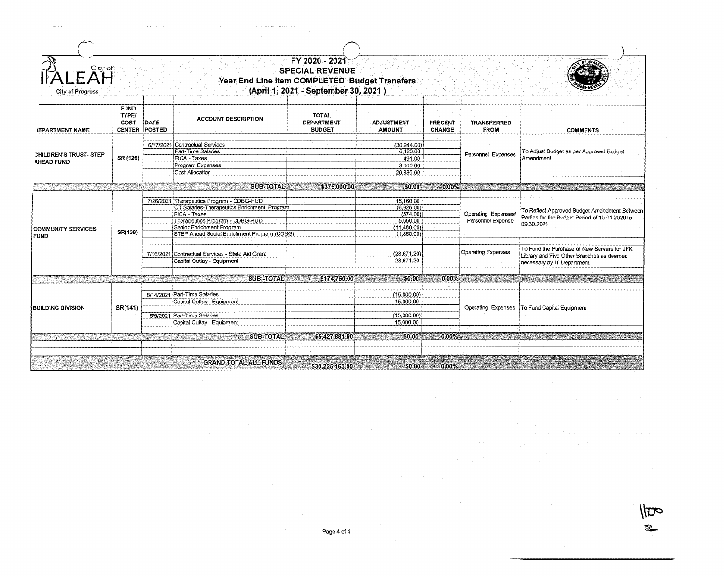| City of<br>City of Progress                                                                                          |                                               |                |                                                                                                                                                                                                                                | FY 2020 - 2021<br><b>SPECIAL REVENUE</b><br>Year End Line Item COMPLETED Budget Transfers<br>(April 1, 2021 - September 30, 2021) |                                                                              |                          |                                          |                                                                                                                                                                                                                               |
|----------------------------------------------------------------------------------------------------------------------|-----------------------------------------------|----------------|--------------------------------------------------------------------------------------------------------------------------------------------------------------------------------------------------------------------------------|-----------------------------------------------------------------------------------------------------------------------------------|------------------------------------------------------------------------------|--------------------------|------------------------------------------|-------------------------------------------------------------------------------------------------------------------------------------------------------------------------------------------------------------------------------|
| <b>JEPARTMENT NAME</b>                                                                                               | <b>FUND</b><br>TYPE/<br>COST<br><b>CENTER</b> | DATE<br>POSTED | <b>ACCOUNT DESCRIPTION</b>                                                                                                                                                                                                     | <b>TOTAL</b><br><b>DEPARTMENT</b><br><b>BUDGET</b>                                                                                | <b>ADJUSTMENT</b><br><b>AMOUNT</b>                                           | PRECENT<br><b>CHANGE</b> | TRANSFERRED<br><b>FROM</b>               | <b>COMMENTS</b>                                                                                                                                                                                                               |
| <b>CHILDREN'S TRUST- STEP</b><br><b>AHEAD FUND</b>                                                                   | SR (126)                                      |                | 6/17/2021 Contractual Services<br>Part-Time Salaries<br>FICA - Taxes<br>Program Expenses<br>Cost Allocation                                                                                                                    |                                                                                                                                   | (30, 244.00)<br>6,423.00<br>491.00<br>3,000.00<br>20,330.00                  |                          | Personnel Expenses                       | To Adjust Budget as per Approved Budget<br>Amendment                                                                                                                                                                          |
| <u> Parti de la provincia del control de la provincia del control de la provincia del control de la provincia de</u> |                                               |                | <b>SUB-TOTAL 5375.000.00</b>                                                                                                                                                                                                   |                                                                                                                                   | \$0.00                                                                       |                          |                                          | $0.00\%$ . The contract of the contract of the contract of the contract of the contract of the contract of the contract of the contract of the contract of the contract of the contract of the contract of the contract of th |
| <b>COMMUNITY SERVICES</b><br><b>FUND</b>                                                                             | SR(138)                                       |                | 7/26/2021 Therapeutics Program - CDBG-HUD<br>OT Salaries-Therapeutics Enrichment Program<br><b>FICA - Taxes</b><br>Therapeutics Program - CDBG-HUD<br>Senior Enrichment Program<br>STEP Ahead Social Enrichment Program (CDBG) |                                                                                                                                   | 15,160.00<br>(6,926.00)<br>(574.00)<br>5,650.00<br>(11,460.00)<br>(1,850.00) |                          | Operating Expenses/<br>Personnel Expense | To Reflect Approved Budget Amendment Between<br>Parties for the Budget Period of 10.01.2020 to<br>09.30.2021                                                                                                                  |
|                                                                                                                      |                                               |                | 7/16/2021 Contractual Services - State Aid Grant<br>Capital Outlay - Equipment                                                                                                                                                 |                                                                                                                                   | (23, 671.20)<br>23.671.20                                                    |                          | <b>Operating Expenses</b>                | To Fund the Purchase of New Servers for JFK<br>Library and Five Other Branches as deemed<br>necessary by IT Department.                                                                                                       |
|                                                                                                                      |                                               |                |                                                                                                                                                                                                                                |                                                                                                                                   |                                                                              |                          |                                          |                                                                                                                                                                                                                               |
| 49388888                                                                                                             |                                               |                | SUB-TOTAL<br>1202년 1월 1일 1월 1일 1일 1일 1일                                                                                                                                                                                        | \$174,750.00                                                                                                                      | SO <sub>2</sub> 00                                                           | $0.00\%$                 |                                          |                                                                                                                                                                                                                               |
| <b>BUILDING DIVISION</b>                                                                                             | SR(141)                                       |                | 8/14/2021 Part-Time Salaries<br>Capital Outlay - Equipment                                                                                                                                                                     |                                                                                                                                   | (15,000,00)<br>15,000.00                                                     |                          | Operating Expenses                       | To Fund Capital Equipment                                                                                                                                                                                                     |
|                                                                                                                      |                                               |                | 5/5/2021 Part-Time Salaries<br>Capital Outlay - Equipment                                                                                                                                                                      |                                                                                                                                   | (15,000.00)<br>15,000.00                                                     |                          |                                          |                                                                                                                                                                                                                               |
| <u> Tantar Tinggi</u>                                                                                                |                                               |                | SUB-TOTAL<br><u>e de la companya de la companya de la companya de la compa</u>                                                                                                                                                 | \$5,427,881.00                                                                                                                    | \$0.00                                                                       | $0.00\%$                 |                                          | 2008년 - 대한민국의 대한민국의 대한민국의 대한민국의 대한민국의 대한민국의 대한민국의 대한민국의 대한민국의 대한민국의 대한민국의 대한민국의 대한민국의 대한민국의 대한민국의 대한민국의 대한민국의 대                                                                                                               |
|                                                                                                                      |                                               |                |                                                                                                                                                                                                                                |                                                                                                                                   |                                                                              |                          |                                          |                                                                                                                                                                                                                               |
|                                                                                                                      |                                               |                | <b>GRAND TOTAL ALL FUNDS</b>                                                                                                                                                                                                   | \$30,225,163.00                                                                                                                   |                                                                              | $$0.00$ $$0.00\%$        |                                          |                                                                                                                                                                                                                               |

 $\sqrt{}$ 

~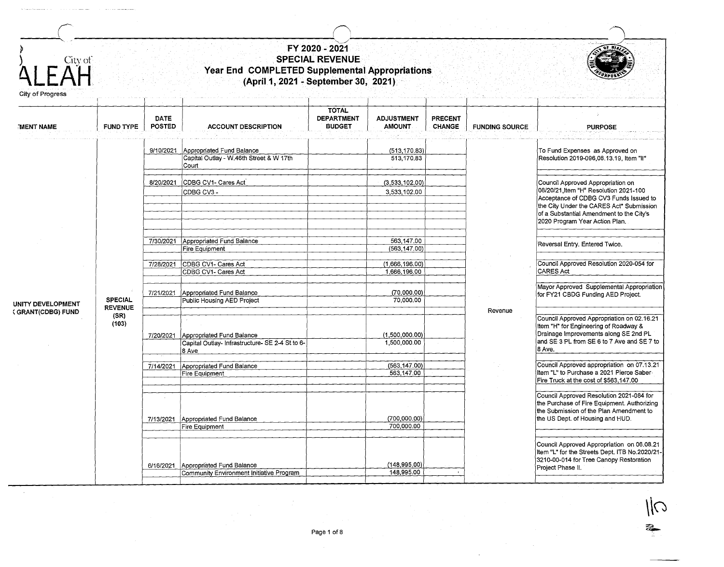| $F\overset{\text{City of}}{\mathsf{AH}}$<br>City of Progress |                                                   |                              | Year End COMPLETED Supplemental Appropriations<br>(April 1, 2021 - September 30, 2021) | FY 2020 - 2021<br><b>SPECIAL REVENUE</b>           |                                                               |                   |                       |                                                                                                                                                                                                                                                 |
|--------------------------------------------------------------|---------------------------------------------------|------------------------------|----------------------------------------------------------------------------------------|----------------------------------------------------|---------------------------------------------------------------|-------------------|-----------------------|-------------------------------------------------------------------------------------------------------------------------------------------------------------------------------------------------------------------------------------------------|
| <b>MENT NAME</b>                                             | <b>FUND TYPE</b>                                  | <b>DATE</b><br><b>POSTED</b> | <b>ACCOUNT DESCRIPTION</b>                                                             | <b>TOTAL</b><br><b>DEPARTMENT</b><br><b>BUDGET</b> | <b>ADJUSTMENT</b><br><b>AMOUNT</b>                            | PRECENT<br>CHANGE | <b>FUNDING SOURCE</b> | <b>PURPOSE</b>                                                                                                                                                                                                                                  |
|                                                              |                                                   | 9/10/2021                    | Appropriated Fund Balance<br>Capital Outlay - W.46th Street & W 17th<br>Court          |                                                    | (513, 170.83)<br>513,170.83                                   |                   |                       | To Fund Expenses as Approved on<br>Resolution 2019-096,08.13.19, Item "II"                                                                                                                                                                      |
|                                                              |                                                   | 8/20/2021                    | CDBG CV1- Cares Act<br>CDBG CV3-                                                       |                                                    | (3,533,102.00)<br>3,533,102.00                                |                   |                       | Council Approved Appropriation on<br>08/20/21, Item "H" Resolution 2021-100<br>Acceptance of CDBG CV3 Funds Issued to<br>the City Under the CARES Act* Submission<br>of a Substantial Amendment to the City's<br>2020 Program Year Action Plan. |
|                                                              |                                                   |                              | 7/30/2021 Appropriated Fund Balance<br>Fire Equipment<br>7/28/2021 CDBG CV1- Cares Act |                                                    | 563,147.00<br>(563, 147.00)<br>(1,666,196.00)<br>1,666,196.00 |                   |                       | Reversal Entry. Entered Twice.<br>Council Approved Resolution 2020-054 for<br><b>CARES Act</b>                                                                                                                                                  |
| UNITY DEVELOPMENT<br>(GRANT(CDBG) FUND                       | <b>SPECIAL</b><br><b>REVENUE</b><br>(SR)<br>(103) | 7/21/2021                    | CDBG CV1- Cares Act<br>Appropriated Fund Balance<br>Public Housing AED Project         |                                                    | (70,000.00)<br>70,000,00                                      |                   |                       | Mayor Approved Supplemental Appropriation<br>for FY21 CBDG Funding AED Project.                                                                                                                                                                 |
|                                                              |                                                   | 7/20/2021                    | Appropriated Fund Balance<br>Capital Outlay-Infrastructure- SE 2-4 St to 6-<br>8 Ave   |                                                    | (1,500,000.00)<br>1,500,000.00                                |                   | Revenue               | Council Approved Appropriation on 02.16.21<br>Item "H" for Engineering of Roadway &<br>Drainage Improvements along SE 2nd PL<br>and SE 3 PL from SE 6 to 7 Ave and SE 7 to<br>8 Ave.                                                            |
|                                                              |                                                   | 7/14/2021                    | Appropriated Fund Balance<br>Fire Equipment                                            |                                                    | (563, 147.00)<br>563,147.00                                   |                   |                       | Council Approved appropriation on 07.13.21<br>Item "L" to Purchase a 2021 Pierce Saber-<br>Fire Truck at the cost of \$563,147.00                                                                                                               |
|                                                              |                                                   |                              | 7/13/2021 Appropriated Fund Balance<br>Fire Equipment                                  |                                                    | (700,000.00)<br>700,000.00                                    |                   |                       | Council Approved Resolution 2021-084 for<br>the Purchase of Fire Equipment. Authorizing<br>the Submission of the Plan Amendment to<br>the US Dept. of Housing and HUD.                                                                          |
|                                                              |                                                   | 6/16/2021                    | Appropriated Fund Balance<br>Community Environment Initiative Program                  |                                                    | (148, 995.00)<br>148,995.00                                   |                   |                       | Council Approved Appropriation on 06.08.21<br>Item "L" for the Streets Dept. ITB No.2020/21-<br>3210-00-014 for Tree Canopy Restoration<br>Project Phase II.                                                                                    |

Page 1 of 8  $\overline{\mathscr{C}}$ 

 $\overline{\mathcal{M}}$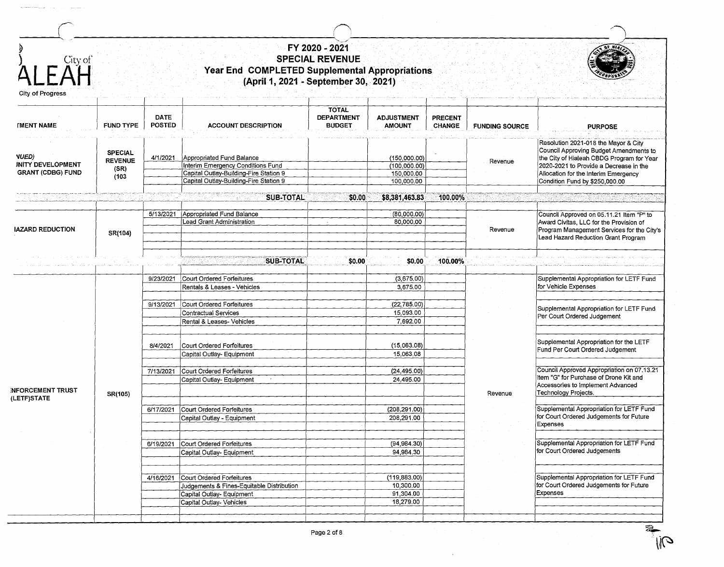| City of                                              |                                                   |                              | Year End COMPLETED Supplemental Appropriations<br>(April 1, 2021 - September 30, 2021)                                                                      | FY 2020 - 2021<br><b>SPECIAL REVENUE</b>           |                                                           |                                 |                       |                                                                                                                                                                                                                                                 |
|------------------------------------------------------|---------------------------------------------------|------------------------------|-------------------------------------------------------------------------------------------------------------------------------------------------------------|----------------------------------------------------|-----------------------------------------------------------|---------------------------------|-----------------------|-------------------------------------------------------------------------------------------------------------------------------------------------------------------------------------------------------------------------------------------------|
|                                                      | <b>FUND TYPE</b>                                  | <b>DATE</b><br><b>POSTED</b> | <b>ACCOUNT DESCRIPTION</b>                                                                                                                                  | <b>TOTAL</b><br><b>DEPARTMENT</b><br><b>BUDGET</b> | <b>ADJUSTMENT</b><br><b>AMOUNT</b>                        | <b>PRECENT</b><br><b>CHANGE</b> | <b>FUNDING SOURCE</b> | <b>PURPOSE</b>                                                                                                                                                                                                                                  |
| <b>INITY DEVELOPMENT</b><br><b>GRANT (CDBG) FUND</b> | <b>SPECIAL</b><br><b>REVENUE</b><br>(SR)<br>(103) |                              | 4/1/2021 Appropriated Fund Balance<br>Interim Emergency Conditions Fund<br>Capital Outlay-Building-Fire Station 9<br>Capital Outlay-Building-Fire Station 9 |                                                    | (150,000.00)<br>(100, 000.00)<br>150,000.00<br>100,000.00 |                                 | Revenue               | Resolution 2021-018 the Mayor & City<br>Council Approving Budget Amendments to<br>the City of Hialeah CBDG Program for Year<br>2020-2021 to Provide a Decrease in the<br>Allocation for the Interim Emergency<br>Condition Fund by \$250,000.00 |
|                                                      |                                                   |                              | <b>SUB-TOTAL</b>                                                                                                                                            | \$0.00                                             | \$8,381,463.83                                            | 100.00%                         |                       |                                                                                                                                                                                                                                                 |
| <b>IAZARD REDUCTION</b>                              | SR(104)                                           | 5/13/2021                    | Appropriated Fund Balance<br>Lead Grant Administration                                                                                                      |                                                    | (80,000.00)<br>80,000.00                                  |                                 | Revenue               | Council Approved on 05.11.21 Item "P" to<br>Award Civitas, LLC for the Provision of<br>Program Management Services for the City's<br>Lead Hazard Reduction Grant Program                                                                        |
|                                                      |                                                   | 9/23/2021                    | <b>SUB-TOTAL</b><br>Court Ordered Forfeitures<br>Rentals & Leases - Vehicles                                                                                | \$0.00                                             | \$0.00<br>(3,675.00)<br>3,675.00                          | 100.00%                         |                       | Supplemental Appropriation for LETF Fund<br>for Vehicle Expenses                                                                                                                                                                                |
|                                                      | SR(105)                                           | 9/13/2021                    | Court Ordered Forfeitures<br>Contractual Services<br>Rental & Leases- Vehicles                                                                              |                                                    | (22, 785.00)<br>15,093.00<br>7,692.00                     |                                 | Revenue               | Supplemental Appropriation for LETF Fund<br>Per Court Ordered Judgement                                                                                                                                                                         |
|                                                      |                                                   | 8/4/2021                     | Court Ordered Forfeitures<br>Capital Outlay- Equipment                                                                                                      |                                                    | (15,063.08)<br>15,063.08                                  |                                 |                       | Supplemental Appropriation for the LETF<br>Fund Per Court Ordered Judgement                                                                                                                                                                     |
| <b>INFORCEMENT TRUST</b>                             |                                                   | 7/13/2021                    | Court Ordered Forfeitures<br>Capital Outlay- Equipment                                                                                                      |                                                    | (24, 495.00)<br>24,495.00                                 |                                 |                       | Council Approved Appropriation on 07.13.21<br>Item "G" for Purchase of Drone Kit and<br>Accessories to Implement Advanced<br>Technology Projects.                                                                                               |
|                                                      |                                                   | 6/17/2021                    | Court Ordered Forfeitures<br>Capital Outlay - Equipment                                                                                                     |                                                    | (208, 291.00)<br>208,291.00                               |                                 |                       | Supplemental Appropriation for LETF Fund<br>for Court Ordered Judgements for Future<br>Expenses                                                                                                                                                 |
|                                                      |                                                   | 6/19/2021                    | Court Ordered Forfeitures<br>Capital Outlay- Equipment                                                                                                      |                                                    | (94,984.30)<br>94,984.30                                  |                                 |                       | Supplemental Appropriation for LETF Fund<br>for Court Ordered Judgements                                                                                                                                                                        |
|                                                      |                                                   | 4/16/2021                    | Court Ordered Forfeitures<br>Judgements & Fines-Equitable Distribution<br>Capital Outlay- Equipment                                                         |                                                    | (119, 883.00)<br>10,300.00<br>91,304.00                   |                                 |                       | Supplemental Appropriation for LETF Fund<br>for Court Ordered Judgements for Future<br><b>Expenses</b>                                                                                                                                          |
|                                                      |                                                   |                              | Capital Outlay- Vehicles                                                                                                                                    |                                                    | 18,279.00                                                 |                                 |                       |                                                                                                                                                                                                                                                 |

 $\overline{z}$  $\mathbb{R}^n$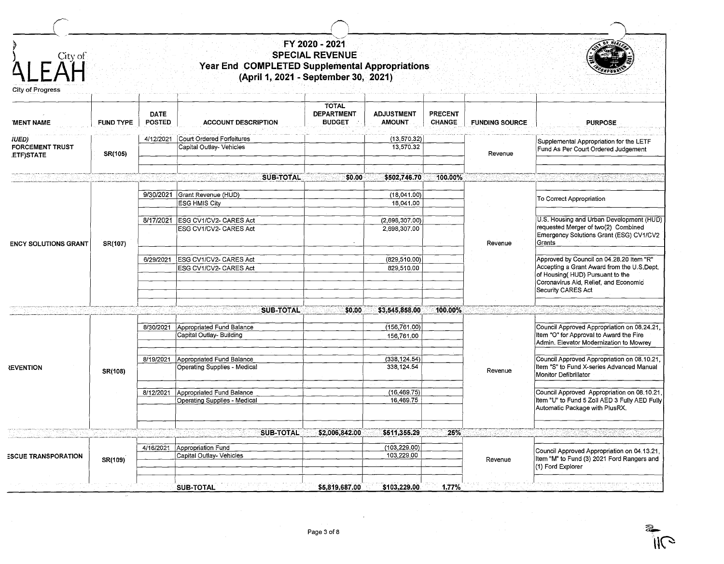| $E \overrightarrow{A} H$<br>City of Progress |                  |                              | Year End COMPLETED Supplemental Appropriations<br>(April 1, 2021 - September 30, 2021) | FY 2020 - 2021<br><b>SPECIAL REVENUE</b>           |                                    |                                 |                       |                                                                                                                                                                                           |
|----------------------------------------------|------------------|------------------------------|----------------------------------------------------------------------------------------|----------------------------------------------------|------------------------------------|---------------------------------|-----------------------|-------------------------------------------------------------------------------------------------------------------------------------------------------------------------------------------|
| <b>MENT NAME</b>                             | <b>FUND TYPE</b> | <b>DATE</b><br><b>POSTED</b> | <b>ACCOUNT DESCRIPTION</b>                                                             | <b>TOTAL</b><br><b>DEPARTMENT</b><br><b>BUDGET</b> | <b>ADJUSTMENT</b><br><b>AMOUNT</b> | <b>PRECENT</b><br><b>CHANGE</b> | <b>FUNDING SOURCE</b> | <b>PURPOSE</b>                                                                                                                                                                            |
| IUED)<br><b>FORCEMENT TRUST</b><br>ETF)STATE | SR(105)          | 4/12/2021                    | Court Ordered Forfeitures<br>Capital Outlay- Vehicles                                  |                                                    | (13, 570.32)<br>13,570.32          |                                 | Revenue               | Supplemental Appropriation for the LETF<br>Fund As Per Court Ordered Judgement                                                                                                            |
|                                              |                  |                              | <b>SUB-TOTAL</b>                                                                       | \$0.00                                             | \$502,746.70                       | 100.00%                         |                       |                                                                                                                                                                                           |
| <b>ENCY SOLUTIONS GRANT</b>                  |                  |                              | 9/30/2021 Grant Revenue (HUD)<br><b>ESG HMIS City</b>                                  |                                                    | (18,041.00)<br>18,041.00           |                                 |                       | To Correct Appropriation                                                                                                                                                                  |
|                                              | SR(107)          |                              | 8/17/2021 ESG CV1/CV2- CARES Act<br>ESG CV1/CV2- CARES Act                             |                                                    | (2,698,307.00)<br>2,698,307.00     |                                 | Revenue               | U.S. Housing and Urban Development (HUD)<br>requested Merger of two(2) Combined<br>Emergency Solutions Grant (ESG) CV1/CV2<br>Grants                                                      |
|                                              |                  | 6/29/2021                    | ESG CV1/CV2- CARES Act<br>ESG CV1/CV2- CARES Act                                       |                                                    | (829, 510.00)<br>829,510.00        |                                 |                       | Approved by Council on 04.28.20 Item "R"<br>Accepting a Grant Award from the U.S.Dept.<br>of Housing( HUD) Pursuant to the<br>Coronavirus Aid, Relief, and Economic<br>Security CARES Act |
|                                              |                  |                              |                                                                                        |                                                    |                                    |                                 |                       |                                                                                                                                                                                           |
|                                              |                  |                              | <b>SUB-TOTAL</b>                                                                       | \$0.00                                             | \$3,545,858.00                     | 100.00%                         |                       |                                                                                                                                                                                           |
|                                              | SR(108)          |                              | 8/30/2021 Appropriated Fund Balance<br>Capital Outlay- Building                        |                                                    | (156, 761, 00)<br>156,761.00       |                                 | Revenue               | Council Approved Appropriation on 08.24.21,<br>Item "O" for Approval to Award the Fire<br>Admin. Elevator Modernization to Mowrey                                                         |
| <b><i>REVENTION</i></b>                      |                  | 8/19/2021                    | Appropriated Fund Balance<br>Operating Supplies - Medical                              |                                                    | (338, 124.54)<br>338,124.54        |                                 |                       | Council Approved Appropriation on 08.10.21,<br>Item "S" to Fund X-series Advanced Manual<br>Monitor Defibrillator                                                                         |
|                                              |                  | 8/12/2021                    | Appropriated Fund Balance<br>Operating Supplies - Medical                              |                                                    | (16, 469.75)<br>16,469.75          |                                 |                       | Council Approved Appropriation on 08.10.21,<br>Item "U" to Fund 5 Zoll AED 3 Fully AED Fully<br>Automatic Package with PlusRX.                                                            |
|                                              |                  |                              |                                                                                        |                                                    |                                    |                                 |                       |                                                                                                                                                                                           |
|                                              |                  |                              | <b>SUB-TOTAL</b>                                                                       | \$2,006,842.00                                     | \$511,355.29                       | 25%                             |                       |                                                                                                                                                                                           |
| <b>ESCUE TRANSPORATION</b>                   | SR(109)          | 4/16/2021                    | Appropriation Fund<br>Capital Outlay- Vehicles                                         |                                                    | (103, 229.00)<br>103,229.00        |                                 | Revenue               | Council Approved Appropriation on 04.13.21,<br>Item "M" to Fund (3) 2021 Ford Rangers and<br>(1) Ford Explorer                                                                            |

~

 $\mathbf{W}$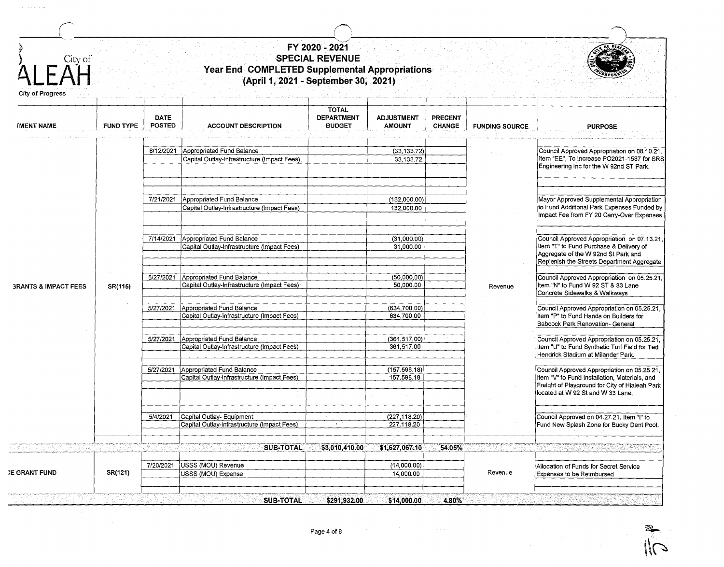| City of<br>FAH                  |                  |                              | Year End COMPLETED Supplemental Appropriations<br>(April 1, 2021 - September 30, 2021) | FY 2020 - 2021<br><b>SPECIAL REVENUE</b>           |                                    |                                 |                       |                                                                                                                                    |
|---------------------------------|------------------|------------------------------|----------------------------------------------------------------------------------------|----------------------------------------------------|------------------------------------|---------------------------------|-----------------------|------------------------------------------------------------------------------------------------------------------------------------|
| City of Progress                |                  |                              |                                                                                        |                                                    |                                    |                                 |                       |                                                                                                                                    |
| <b>IMENT NAME</b>               | <b>FUND TYPE</b> | <b>DATE</b><br><b>POSTED</b> | <b>ACCOUNT DESCRIPTION</b>                                                             | <b>TOTAL</b><br><b>DEPARTMENT</b><br><b>BUDGET</b> | <b>ADJUSTMENT</b><br><b>AMOUNT</b> | <b>PRECENT</b><br><b>CHANGE</b> | <b>FUNDING SOURCE</b> | <b>PURPOSE</b>                                                                                                                     |
|                                 |                  |                              |                                                                                        |                                                    |                                    |                                 |                       |                                                                                                                                    |
|                                 |                  | 8/12/2021                    | Appropriated Fund Balance                                                              |                                                    | (33, 133.72)                       |                                 |                       | Council Approved Appropriation on 08.10.21,                                                                                        |
|                                 |                  |                              | Capital Outlay-Infrastructure (Impact Fees)                                            |                                                    | 33, 133.72                         |                                 |                       | Item "EE", To Increase PO2021-1587 for SRS<br>Engineering Inc for the W 92nd ST Park.                                              |
|                                 |                  |                              |                                                                                        |                                                    |                                    |                                 |                       |                                                                                                                                    |
|                                 |                  |                              |                                                                                        |                                                    |                                    |                                 |                       |                                                                                                                                    |
|                                 |                  |                              |                                                                                        |                                                    |                                    |                                 |                       |                                                                                                                                    |
|                                 |                  | 7/21/2021                    | Appropriated Fund Balance                                                              |                                                    | (132,000.00)                       |                                 |                       | Mayor Approved Supplemental Appropriation<br>to Fund Additional Park Expenses Funded by                                            |
|                                 |                  |                              | Capital Outlay-Infrastructure (Impact Fees)                                            |                                                    | 132,000.00                         |                                 |                       | Impact Fee from FY 20 Carry-Over Expenses                                                                                          |
|                                 |                  |                              |                                                                                        |                                                    |                                    |                                 |                       |                                                                                                                                    |
|                                 |                  | 7/14/2021                    | Appropriated Fund Balance                                                              |                                                    | (31,000.00)                        |                                 |                       | Council Approved Appropriation on 07.13.21,                                                                                        |
|                                 |                  |                              | Capital Outlay-Infrastructure (Impact Fees)                                            |                                                    | 31,000.00                          |                                 |                       | Item "T" to Fund Purchase & Delivery of                                                                                            |
|                                 |                  |                              |                                                                                        |                                                    |                                    |                                 |                       | Aggregate of the W 92nd St Park and                                                                                                |
|                                 |                  |                              |                                                                                        |                                                    |                                    |                                 |                       | Replenish the Streets Department Aggregate                                                                                         |
|                                 |                  |                              | 5/27/2021 Appropriated Fund Balance                                                    |                                                    | (50,000,00)                        |                                 |                       | Council Approved Appropriation on 05.25.21,                                                                                        |
| <b>GRANTS &amp; IMPACT FEES</b> | SR(115)          |                              | Capital Outlay-Infrastructure (Impact Fees)                                            |                                                    | 50,000.00                          |                                 | Revenue               | Item "N" to Fund W 92 ST & 33 Lane                                                                                                 |
|                                 |                  |                              |                                                                                        |                                                    |                                    |                                 |                       | Concrete Sidewalks & Walkways                                                                                                      |
|                                 |                  | 5/27/2021                    | Appropriated Fund Balance                                                              |                                                    | (634, 700, 00)                     |                                 |                       | Council Approved Appropriation on 05.25.21,                                                                                        |
|                                 |                  |                              | Capital Outlay-infrastructure (Impact Fees)                                            |                                                    | 634,700.00                         |                                 |                       | Item "P" to Fund Hands on Builders for                                                                                             |
|                                 |                  |                              |                                                                                        |                                                    |                                    |                                 |                       | Babcock Park Renovation- General                                                                                                   |
|                                 |                  |                              | 5/27/2021 Appropriated Fund Balance                                                    |                                                    |                                    |                                 |                       | Council Approved Appropriation on 05.25.21,<br>Item "U" to Fund Synthetic Turf Field for Ted<br>Hendrick Stadium at Milander Park. |
|                                 |                  |                              | Capital Outlay-Infrastructure (Impact Fees)                                            |                                                    | (361, 517.00)<br>361,517.00        |                                 |                       |                                                                                                                                    |
|                                 |                  |                              |                                                                                        |                                                    |                                    |                                 |                       |                                                                                                                                    |
|                                 |                  |                              | 5/27/2021 Appropriated Fund Balance                                                    |                                                    | (157, 598.18)                      |                                 |                       | Council Approved Appropriation on 05.25.21,<br>Item "V" to Fund Installation, Materials, and                                       |
|                                 |                  |                              | Capital Outlay-Infrastructure (Impact Fees)                                            |                                                    | 157,598.18                         |                                 |                       |                                                                                                                                    |
|                                 |                  |                              |                                                                                        |                                                    |                                    |                                 |                       | Freight of Playground for City of Hialeah Park                                                                                     |
|                                 |                  |                              |                                                                                        |                                                    |                                    |                                 |                       | located at W 92 St and W 33 Lane.                                                                                                  |
|                                 |                  |                              |                                                                                        |                                                    |                                    |                                 |                       |                                                                                                                                    |
|                                 |                  | 5/4/2021                     | Capital Outlay- Equipment                                                              |                                                    | (227,118.20)                       |                                 |                       | Council Approved on 04.27.21, Item "I" to                                                                                          |
|                                 |                  |                              | Capital Outlay-Infrastructure (Impact Fees)                                            |                                                    | 227,118.20                         |                                 |                       | Fund New Splash Zone for Bucky Dent Pool.                                                                                          |
|                                 |                  |                              |                                                                                        |                                                    |                                    |                                 |                       |                                                                                                                                    |
|                                 |                  |                              | <b>SUB-TOTAL</b>                                                                       | \$3,010,410.00                                     | \$1,627,067.10                     | 54.05%                          |                       |                                                                                                                                    |
|                                 |                  |                              |                                                                                        |                                                    |                                    |                                 |                       |                                                                                                                                    |
|                                 |                  | 7/20/2021                    | USSS (MOU) Revenue                                                                     |                                                    | (14,000.00)                        |                                 |                       | Allocation of Funds for Secret Service                                                                                             |
| <b>E GRANT FUND</b>             | SR(121)          |                              | USSS (MOU) Expense                                                                     |                                                    | 14,000.00                          |                                 | Revenue               | Expenses to be Reimbursed                                                                                                          |
|                                 |                  |                              |                                                                                        |                                                    |                                    |                                 |                       |                                                                                                                                    |
|                                 |                  |                              | <b>SUB-TOTAL</b>                                                                       | \$291,932.00                                       | \$14,000.00                        | 4.80%                           |                       |                                                                                                                                    |

 $\frac{2}{1}$  $\mathcal{C}$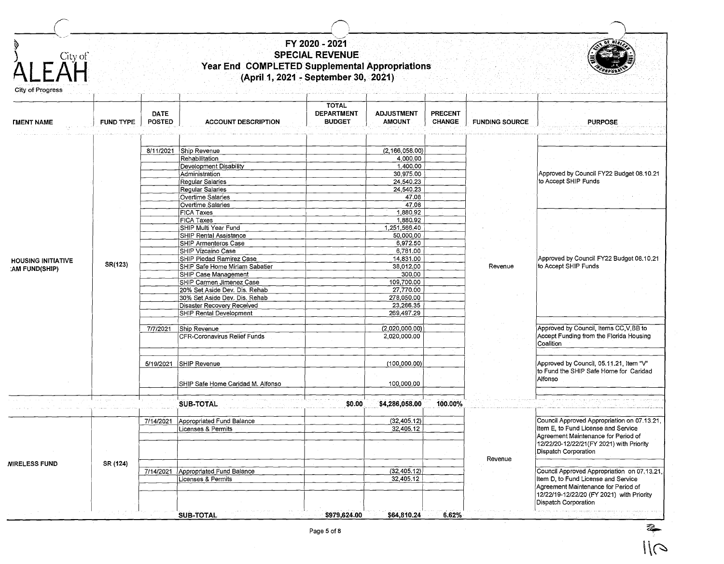<sup>r</sup>r--\ ( I ' ----'-. \_\_ .,,---------------------,\_~--------------------- ~ ) City of **A LEAH**  City of Progress *FMENT NAME* **HOUSING INITIATIVE :AM FUND(SHIP) NIRELESS FUND FUND TYPE SR(123) SR (124) DATE POSTED**  8/11/2021 Ship Revenue 71712021 Ship Revenue 5/19/2021 SHIP Revenue 7/14/2021 | Appropriated Fund Balance 7/14/2021 | Appropriated Fund Balance **FY 2020 - 2021 SPECIAL REVENUE Year End COMPLETED Supplemental Appropriations (April 1, 2021** ~ **September 30, 2021) ACCOUNT DESCRIPTION**  Rehabilitation Development Disability **Administration** Regular Salaries **Regular Salaries** Overtime Salaries Overtime Salaries FICA Taxes FICA Taxes SHIP Multi Year Fund SHIP Rental Assistance SHIP Armenteros Case SHIP Vizcaino Case SHIP Piedad Ramirez Case SHIP Safe Home Miriam Sabatier SHIP Case Management SHIP Carmen Jimenez Case 20% Set Aside Dev. Dis. Rehab 30% Set Aside Dev. Dis. Rehab Disaster Recoverv Received SHIP Rental Development CFR-Coronavirus Relief Funds SHIP Safe Home Caridad M. Alfonso **SUB-TOTAL**  Licenses & Permits Licenses & Permits **TOTAL DEPARTMENT BUDGET \$0.00 ADJUSTMENT AMOUNT**   $(2, 166, 058, 00)$ 4,000.00  $1,400.00$ 30,975.00 24,540.23 24,540.23 47.08  $47.08$ 1,880.92 1,880.92 1,251,566.40 50,000.00 6,972.50 6,781.00 14,831.00 38,012.00 300.00 109,700.00 27,770.00 278,050.00 23,266.35 269,497.29  $(2,020,000.00)$ 2,020,000.00 (100,000.00) 100,000.00 **\$4,286,058.00**  (32,405.12) 32,405.12  $(32, 405.12)$ 32,405.12 **PRECENT CHANGE I FUNDING SOURCE**  Revenue **100.00%**  Revenue **PURPOSE**  Approved by Council FY22 Budget 08.10.21 to Accept SHIP Funds Approved by Council FY22 Budget 08.10.21 to Accept SHIP Funds Approved by Council, Items CC,V,BB to Accept Funding from the Florida Housing **Coalition** Approved by Council, 05.11.21, Item "V" to Fund the SHIP Safe Home for Caridad Alfonso Council Approved Appropriation on 07.13.21, Item E, to Fund License and Service Agreement Maintenance for Period af 12/22/20-12/22/21(FY 2021) with Priority Dispatch Corporation Council Approved Appropriation on 07.13.21, Item D, to Fund License and Service

Agreement Maintenance for Period of 12/22/19-12/22/20 (FY 2021) with Priority Dispatch Corporation

**\$979,624.00** 

**\$64,810.24** 

**6.62%** 

**SUB-TOTAL** 

 $1/(\sim$ 

~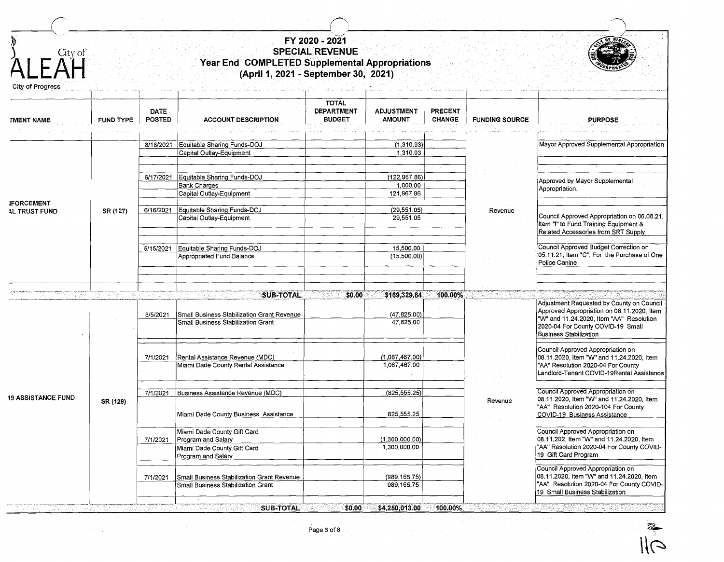| $\sum_{i=1}^{\infty}$<br>$\mathsf{F} \, \overset{\text{City of}}{\mathsf{A}\mathsf{H}}$<br>City of Progress |                  |                              |                                                                                                        |                                                    |                                         |                                 |                       |                                                                                                                                                                   |
|-------------------------------------------------------------------------------------------------------------|------------------|------------------------------|--------------------------------------------------------------------------------------------------------|----------------------------------------------------|-----------------------------------------|---------------------------------|-----------------------|-------------------------------------------------------------------------------------------------------------------------------------------------------------------|
| <b><i>IMENT NAME</i></b>                                                                                    | <b>FUND TYPE</b> | <b>DATE</b><br><b>POSTED</b> | <b>ACCOUNT DESCRIPTION</b>                                                                             | <b>TOTAL</b><br><b>DEPARTMENT</b><br><b>BUDGET</b> | <b>ADJUSTMENT</b><br><b>AMOUNT</b>      | <b>PRECENT</b><br><b>CHANGE</b> | <b>FUNDING SOURCE</b> | <b>PURPOSE</b>                                                                                                                                                    |
|                                                                                                             |                  | 8/18/2021                    | Equitable Sharing Funds-DOJ<br>Capital Outlay-Equipment                                                |                                                    | (1,310.93)<br>1,310,93                  |                                 |                       | Mayor Approved Supplemental Appropriation                                                                                                                         |
|                                                                                                             |                  |                              | 6/17/2021 Equitable Sharing Funds-DOJ<br><b>Bank Charges</b><br>Capital Outlay-Equipment               |                                                    | (122, 967.86)<br>1,000.00<br>121,967.86 |                                 |                       | Approved by Mayor Supplemental<br>Appropriation.                                                                                                                  |
| <b>IFORCEMENT</b><br><b>AL TRUST FUND</b>                                                                   | SR (127)         | 6/16/2021                    | Equitable Sharing Funds-DOJ<br>Capital Outlay-Equipment                                                |                                                    | (29, 551.05)<br>29,551.05               |                                 | Revenue               | Council Approved Appropriation on 06.08.21,<br>Item "I" to Fund Training Equipment &<br>Related Accessories from SRT Supply                                       |
|                                                                                                             |                  | 5/15/2021                    | Equitable Sharing Funds-DOJ<br>Appropriated Fund Balance                                               |                                                    | 15,500.00<br>(15,500.00)                |                                 |                       | Council Approved Budget Correction on<br>05.11.21, Item "C". For the Purchase of One<br>Police Canine                                                             |
|                                                                                                             |                  |                              | <b>SUB-TOTAL</b>                                                                                       | \$0.00                                             | \$169,329.84                            | 100.00%                         |                       | Adjustment Requested by County on Council                                                                                                                         |
|                                                                                                             |                  | 8/5/2021                     | Small Business Stabilization Grant Revenue<br>Small Business Stabilization Grant                       |                                                    | (47, 825.00)<br>47,825.00               |                                 |                       | Approved Appropriation on 08.11.2020, Item<br>"W" and 11.24.2020, Item "AA" Resolution<br>2020-04 For County COVID-19 Small<br><b>Business Stabilization</b>      |
|                                                                                                             |                  | 7/1/2021                     | Rental Assistance Revenue (MDC)<br>Miami Dade County Rental Assistance                                 |                                                    | (1,087,467.00)<br>1,087,467.00          |                                 |                       | Council Approved Appropriation on<br>08.11.2020, Item "W" and 11.24.2020, Item<br>"AA" Resolution 2020-04 For County<br>Landlord-Tenant COVID-19Rental Assistance |
| <b>19 ASSISTANCE FUND</b>                                                                                   | SR (129)         | 7/1/2021                     | Business Assistance Revenue (MDC)<br>Miami Dade County Business Assistance                             |                                                    | (825, 555.25)<br>825,555.25             |                                 | Revenue               | Council Approved Appropriation on<br>08.11.2020, Item "W" and 11.24.2020, Item<br>"AA" Resolution 2020-104 For County<br>COVID-19 Business Assistance             |
|                                                                                                             |                  | 7/1/2021                     | Miami Dade County Gift Card<br>Program and Salary<br>Miami Dade County Gift Card                       |                                                    | (1,300,000,00)<br>1,300,000.00          |                                 |                       | Council Approved Appropriation on<br>08.11.202, Item "W" and 11.24.2020, Item<br>"AA" Resolution 2020-04 For County COVID-<br>19 Gift Card Program                |
|                                                                                                             |                  | 7/1/2021                     | Program and Salary<br>Small Business Stabilization Grant Revenue<br>Small Business Stabilization Grant |                                                    | (989, 165.75)<br>989,165.75             |                                 |                       | Council Approved Appropriation on<br>08.11.2020, Item "W" and 11.24.2020, Item<br>"AA" Resolution 2020-04 For County COVID-<br>19 Small Business Stabilization    |
|                                                                                                             |                  |                              | <b>SUB-TOTAL</b>                                                                                       | \$0.00                                             | \$4,250,013.00                          | 100.00%                         |                       |                                                                                                                                                                   |

Page 6 of 8

~  $\overline{\mathcal{O}}$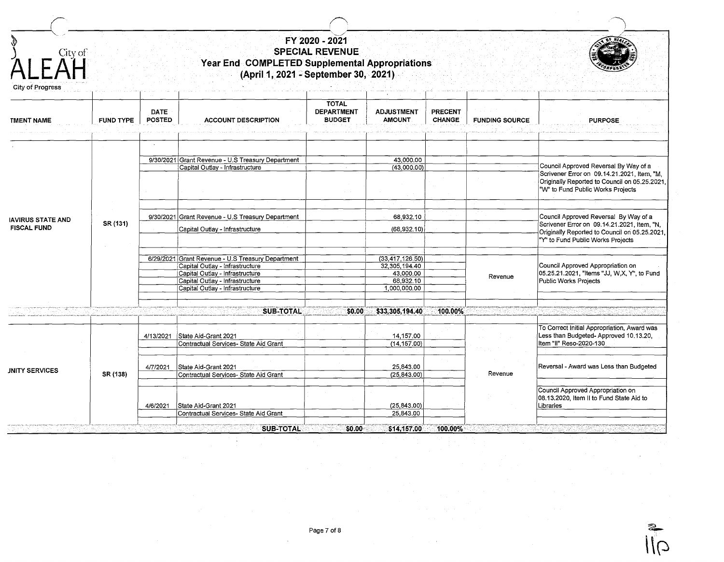| r)<br>City of<br>FΔH<br>City of Progress       |                  |                              | Year End COMPLETED Supplemental Appropriations<br>(April 1, 2021 - September 30, 2021)                                                                                                        | FY 2020 - 2021<br><b>SPECIAL REVENUE</b>           |                                                                                 |                                 |                       |                                                                                                                                                                            |
|------------------------------------------------|------------------|------------------------------|-----------------------------------------------------------------------------------------------------------------------------------------------------------------------------------------------|----------------------------------------------------|---------------------------------------------------------------------------------|---------------------------------|-----------------------|----------------------------------------------------------------------------------------------------------------------------------------------------------------------------|
| <b>TMENT NAME</b>                              | <b>FUND TYPE</b> | <b>DATE</b><br><b>POSTED</b> | <b>ACCOUNT DESCRIPTION</b>                                                                                                                                                                    | <b>TOTAL</b><br><b>DEPARTMENT</b><br><b>BUDGET</b> | <b>ADJUSTMENT</b><br><b>AMOUNT</b>                                              | <b>PRECENT</b><br><b>CHANGE</b> | <b>FUNDING SOURCE</b> | <b>PURPOSE</b>                                                                                                                                                             |
|                                                |                  |                              |                                                                                                                                                                                               |                                                    |                                                                                 |                                 |                       |                                                                                                                                                                            |
|                                                |                  |                              | 9/30/2021 Grant Revenue - U.S Treasury Department                                                                                                                                             |                                                    | 43,000.00                                                                       |                                 |                       |                                                                                                                                                                            |
|                                                |                  |                              | Capital Outlay - Infrastructure                                                                                                                                                               |                                                    | (43,000.00)                                                                     |                                 |                       | Council Approved Reversal By Way of a<br>Scrivener Error on 09.14.21.2021, Item, "M.<br>Originally Reported to Council on 05.25.2021,<br>"W" to Fund Public Works Projects |
|                                                |                  |                              |                                                                                                                                                                                               |                                                    |                                                                                 |                                 |                       |                                                                                                                                                                            |
| <b>IAVIRUS STATE AND</b><br><b>FISCAL FUND</b> | SR (131)         |                              | 9/30/2021 Grant Revenue - U.S Treasury Department<br>Capital Outlay - Infrastructure                                                                                                          |                                                    | 68,932.10<br>(68, 932, 10)                                                      |                                 |                       | Council Approved Reversal By Way of a<br>Scrivener Error on 09.14.21.2021, Item, "N,<br>Originally Reported to Council on 05.25.2021,                                      |
|                                                |                  |                              |                                                                                                                                                                                               |                                                    |                                                                                 |                                 |                       | "Y" to Fund Public Works Projects                                                                                                                                          |
|                                                |                  |                              | 6/29/2021 Grant Revenue - U.S Treasury Department<br>Capital Outlay - Infrastructure<br>Capital Outlay - Infrastructure<br>Capital Outlay - Infrastructure<br>Capital Outlay - Infrastructure |                                                    | (33, 417, 126.50)<br>32, 305, 194, 40<br>43,000.00<br>68,932.10<br>1,000,000.00 |                                 | Revenue               | Council Approved Appropriation on<br>05.25.21.2021, "Items "JJ, W,X, Y", to Fund<br>Public Works Projects                                                                  |
|                                                |                  |                              |                                                                                                                                                                                               |                                                    |                                                                                 |                                 |                       |                                                                                                                                                                            |
|                                                |                  |                              | <b>SUB-TOTAL</b>                                                                                                                                                                              | \$0.00                                             | \$33,305,194.40                                                                 | 100.00%                         |                       |                                                                                                                                                                            |
|                                                |                  |                              | 4/13/2021   State Aid-Grant 2021                                                                                                                                                              |                                                    | 14,157.00                                                                       |                                 |                       | To Correct Initial Appropriation, Award was<br>Less than Budgeted-Approved 10.13.20,                                                                                       |
|                                                |                  |                              | Contractual Services- State Aid Grant                                                                                                                                                         |                                                    | (14, 157.00)                                                                    |                                 |                       | Item "II" Reso-2020-130                                                                                                                                                    |
| <b>JNITY SERVICES</b>                          | SR (138)         | 4/7/2021                     | State Aid-Grant 2021<br>Contractual Services- State Aid Grant                                                                                                                                 |                                                    | 25,843.00<br>(25, 843.00)                                                       |                                 | Revenue               | Reversal - Award was Less than Budgeted                                                                                                                                    |
|                                                |                  | 4/6/2021                     | State Aid-Grant 2021                                                                                                                                                                          |                                                    | (25, 843.00)                                                                    |                                 |                       | Council Approved Appropriation on<br>08.13.2020, Item II to Fund State Aid to<br>Libraries                                                                                 |
|                                                |                  |                              | Contractual Services- State Aid Grant                                                                                                                                                         |                                                    | 25,843.00                                                                       |                                 |                       |                                                                                                                                                                            |
|                                                |                  |                              | <b>SUB-TOTAL</b>                                                                                                                                                                              | \$0.00                                             | \$14,157.00                                                                     | 100.00%                         |                       |                                                                                                                                                                            |

Page 7 of 8  $\overline{\text{2}}$  $\frac{1}{2}$